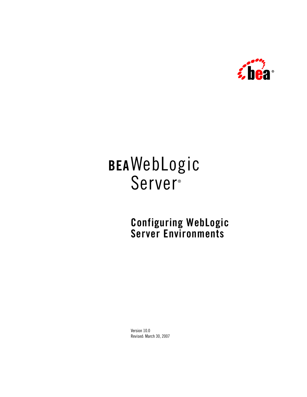

# **BEA**WebLogic **Server**<sup>®</sup>

**Configuring WebLogic Server Environments**

Version 10.0 Revised: March 30, 2007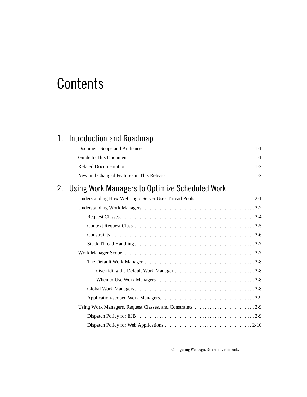# **Contents**

## 1. Introduction and Roadmap

## 2. Using Work Managers to Optimize Scheduled Work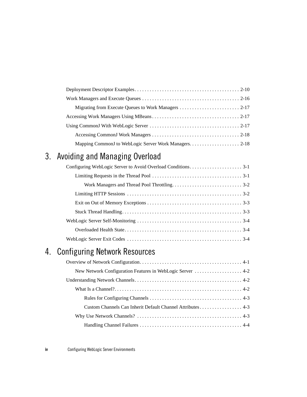## 3. Avoiding and Managing Overload

## 4. Configuring Network Resources

| New Network Configuration Features in WebLogic Server  4-2 |  |
|------------------------------------------------------------|--|
|                                                            |  |
|                                                            |  |
|                                                            |  |
| Custom Channels Can Inherit Default Channel Attributes 4-3 |  |
|                                                            |  |
|                                                            |  |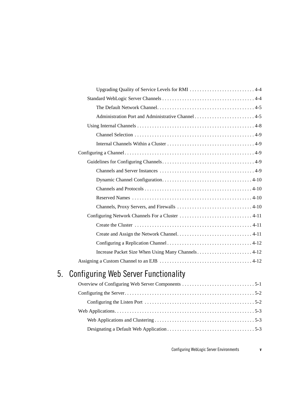| Upgrading Quality of Service Levels for RMI 4-4 |
|-------------------------------------------------|
|                                                 |
|                                                 |
|                                                 |
|                                                 |
|                                                 |
|                                                 |
|                                                 |
|                                                 |
|                                                 |
|                                                 |
|                                                 |
|                                                 |
|                                                 |
|                                                 |
|                                                 |
|                                                 |
|                                                 |
|                                                 |
|                                                 |
|                                                 |

## 5. Configuring Web Server Functionality

Configuring WebLogic Server Environments **v**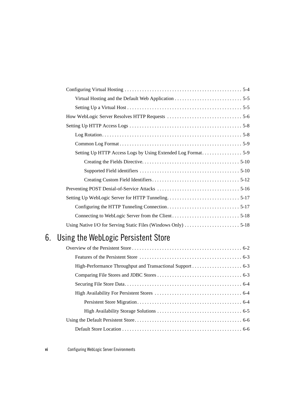## 6. Using the WebLogic Persistent Store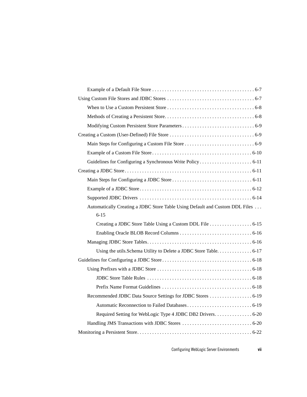| Automatically Creating a JDBC Store Table Using Default and Custom DDL Files |
|------------------------------------------------------------------------------|
|                                                                              |
| $6 - 15$                                                                     |
| Creating a JDBC Store Table Using a Custom DDL File 6-15                     |
|                                                                              |
|                                                                              |
| Using the utils. Schema Utility to Delete a JDBC Store Table. 6-17           |
|                                                                              |
|                                                                              |
|                                                                              |
|                                                                              |
| Recommended JDBC Data Source Settings for JDBC Stores  6-19                  |
|                                                                              |
| Required Setting for WebLogic Type 4 JDBC DB2 Drivers 6-20                   |
|                                                                              |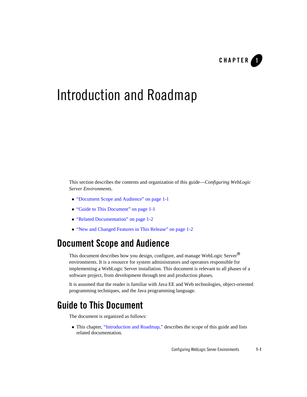

# Introduction and Roadmap

This section describes the contents and organization of this guide—*Configuring WebLogic Server Environments*.

- "Document Scope and Audience" on page 1-1
- "Guide to This Document" on page 1-1
- "Related Documentation" on page 1-2
- "New and Changed Features in This Release" on page 1-2

### **Document Scope and Audience**

This document describes how you design, configure, and manage WebLogic Server<sup>®</sup> environments. It is a resource for system administrators and operators responsible for implementing a WebLogic Server installation. This document is relevant to all phases of a software project, from development through test and production phases.

It is assumed that the reader is familiar with Java EE and Web technologies, object-oriented programming techniques, and the Java programming language.

### **Guide to This Document**

The document is organized as follows:

• This chapter, "Introduction and Roadmap," describes the scope of this guide and lists related documentation.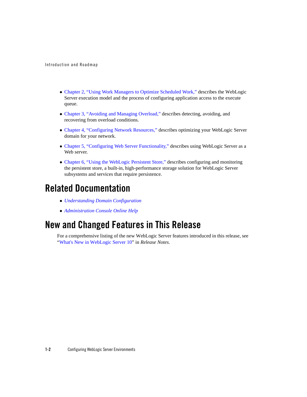Introduction and Roadmap

- Chapter 2, "Using Work Managers to Optimize Scheduled Work," describes the WebLogic Server execution model and the process of configuring application access to the execute queue.
- Chapter 3, "Avoiding and Managing Overload," describes detecting, avoiding, and recovering from overload conditions.
- Chapter 4, "Configuring Network Resources," describes optimizing your WebLogic Server domain for your network.
- Chapter 5, "Configuring Web Server Functionality," describes using WebLogic Server as a Web server.
- Chapter 6, "Using the WebLogic Persistent Store," describes configuring and monitoring the persistent store, a built-in, high-performance storage solution for WebLogic Server subsystems and services that require persistence.

### **Related Documentation**

- <sup>z</sup> *Understanding Domain Configuration*
- <sup>z</sup> *Administration Console Online Help*

### **New and Changed Features in This Release**

For a comprehensive listing of the new WebLogic Server features introduced in this release, see "What's New in WebLogic Server 10" in *Release Notes*.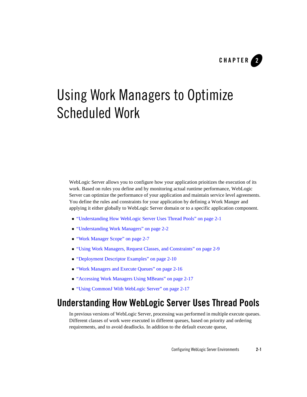

WebLogic Server allows you to configure how your application prioitizes the execution of its work. Based on rules you define and by monitoring actual runtime performance, WebLogic Server can optimize the performance of your application and maintain service level agreements. You define the rules and constraints for your application by defining a Work Manger and applying it either globally to WebLogic Server domain or to a specific application component.

- "Understanding How WebLogic Server Uses Thread Pools" on page 2-1
- "Understanding Work Managers" on page 2-2
- "Work Manager Scope" on page 2-7
- "Using Work Managers, Request Classes, and Constraints" on page 2-9
- "Deployment Descriptor Examples" on page 2-10
- "Work Managers and Execute Queues" on page 2-16
- "Accessing Work Managers Using MBeans" on page 2-17
- "Using CommonJ With WebLogic Server" on page 2-17

### **Understanding How WebLogic Server Uses Thread Pools**

In previous versions of WebLogic Server, processing was performed in multiple execute queues. Different classes of work were executed in different queues, based on priority and ordering requirements, and to avoid deadlocks. In addition to the default execute queue,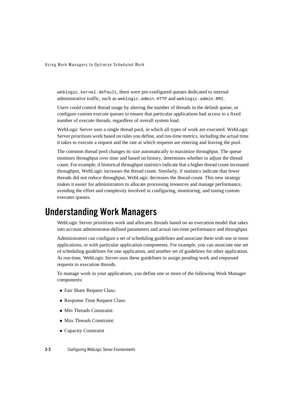weblogic.kernel.default, there were pre-configured queues dedicated to internal administrative traffic, such as weblogic.admin.HTTP and weblogic.admin.RMI.

Users could control thread usage by altering the number of threads in the default queue, or configure custom execute queues to ensure that particular applications had access to a fixed number of execute threads, regardless of overall system load.

WebLogic Server uses a single thread pool, in which all types of work are executed. WebLogic Server prioritizes work based on rules you define, and run-time metrics, including the actual time it takes to execute a request and the rate at which requests are entering and leaving the pool.

The common thread pool changes its size automatically to maximize throughput. The queue monitors throughput over time and based on history, determines whether to adjust the thread count. For example, if historical throughput statistics indicate that a higher thread count increased throughput, WebLogic increases the thread count. Similarly, if statistics indicate that fewer threads did not reduce throughput, WebLogic decreases the thread count. This new strategy makes it easier for administrators to allocate processing resources and manage performance, avoiding the effort and complexity involved in configuring, monitoring, and tuning custom executes queues.

### **Understanding Work Managers**

WebLogic Server prioritizes work and allocates threads based on an execution model that takes into account administrator-defined parameters and actual run-time performance and throughput.

Administrators can configure a set of scheduling guidelines and associate them with one or more applications, or with particular application components. For example, you can associate one set of scheduling guidelines for one application, and another set of guidelines for other application. At run-time, WebLogic Server uses these guidelines to assign pending work and enqueued requests to execution threads.

To manage work in your applications, you define one or more of the following Work Manager components:

- Fair Share Request Class:
- Response Time Request Class:
- Min Threads Constraint:
- Max Threads Constraint:
- Capacity Constraint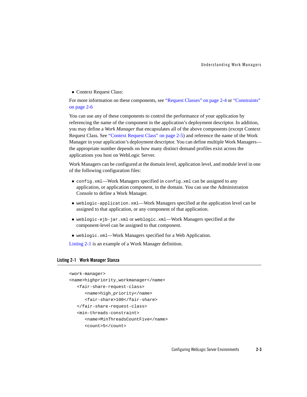• Context Request Class:

For more information on these components, see "Request Classes" on page 2-4 or "Constraints" on page 2-6

You can use any of these components to control the performance of your application by referencing the name of the component in the application's deployment descriptor. In addition, you may define a *Work Manager* that encapsulates all of the above components (except Context Request Class. See "Context Request Class" on page 2-5) and reference the name of the Work Manager in your application's deployment descriptor. You can define multiple Work Managers the appropriate number depends on how many distinct demand profiles exist across the applications you host on WebLogic Server.

Work Managers can be configured at the domain level, application level, and module level in one of the following configuration files:

- config.xml—Work Managers specified in config.xml can be assigned to any application, or application component, in the domain. You can use the Administration Console to define a Work Manager.
- <sup>z</sup> weblogic-application.xml—Work Managers specified at the application level can be assigned to that application, or any component of that application.
- weblogic-ejb-jar.xml or weblogic.xml—Work Managers specified at the component-level can be assigned to that component.
- weblogic.xml—Work Managers specified for a Web Application.

Listing 2-1 is an example of a Work Manager definition.

#### **Listing 2-1 Work Manager Stanza**

```
<work-manager>
<name>highpriority_workmanager</name>
   <fair-share-request-class>
      <name>high_priority</name> 
      <fair-share>100</fair-share> 
   </fair-share-request-class>
   <min-threads-constraint>
      <name>MinThreadsCountFive</name>
      <count>5</count>
```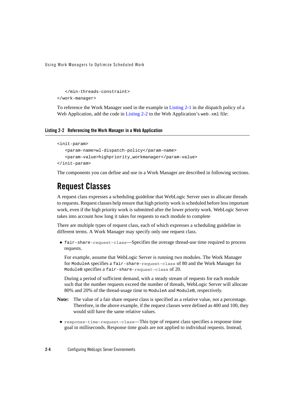```
</min-threads-constraint>
</work-manager>
```
To reference the Work Manager used in the example in Listing 2-1 in the dispatch policy of a Web Application, add the code in Listing 2-2 to the Web Application's web.xml file:

#### **Listing 2-2 Referencing the Work Manager in a Web Application**

```
<init-param>
   <param-name>wl-dispatch-policy</param-name>
   <param-value>highpriority_workmanager</param-value>
</init-param>
```
The components you can define and use in a Work Manager are described in following sections.

### **Request Classes**

A request class expresses a scheduling guideline that WebLogic Server uses to allocate threads to requests. Request classes help ensure that high priority work is scheduled before less important work, even if the high priority work is submitted after the lower priority work. WebLogic Server takes into account how long it takes for requests to each module to complete

There are multiple types of request class, each of which expresses a scheduling guideline in different terms. A Work Manager may specify only one request class.

• fair-share-request-class—Specifies the average thread-use time required to process requests.

For example, assume that WebLogic Server is running two modules. The Work Manager for ModuleA specifies a fair-share-request-class of 80 and the Work Manager for ModuleB specifies a fair-share-request-class of 20.

During a period of sufficient demand, with a steady stream of requests for each module such that the number requests exceed the number of threads, WebLogic Server will allocate 80% and 20% of the thread-usage time to ModuleA and ModuleB, respectively.

- **Note:** The value of a fair share request class is specified as a relative value, not a percentage. Therefore, in the above example, if the request classes were defined as 400 and 100, they would still have the same relative values.
- <sup>z</sup> response-time-request-class—This type of request class specifies a response time goal in milliseconds. Response time goals are not applied to individual requests. Instead,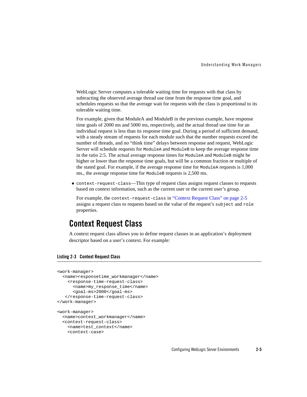WebLogic Server computes a tolerable waiting time for requests with that class by subtracting the observed average thread use time from the response time goal, and schedules requests so that the average wait for requests with the class is proportional to its tolerable waiting time.

For example, given that ModuleA and ModuleB in the previous example, have response time goals of 2000 ms and 5000 ms, respectively, and the actual thread use time for an individual request is less than its response time goal. During a period of sufficient demand, with a steady stream of requests for each module such that the number requests exceed the number of threads, and no "think time" delays between response and request, WebLogic Server will schedule requests for ModuleA and ModuleB to keep the average response time in the ratio 2:5. The actual average response times for ModuleA and ModuleB might be higher or lower than the response time goals, but will be a common fraction or multiple of the stated goal. For example, if the average response time for ModuleA requests is 1,000 ms., the average response time for ModuleB requests is 2,500 ms.

 $\bullet$  context-request-class—This type of request class assigns request classes to requests based on context information, such as the current user or the current user's group.

For example, the context-request-class in "Context Request Class" on page 2-5 assigns a request class to requests based on the value of the request's subject and role properties.

### **Context Request Class**

A context request class allows you to define request classes in an application's deployment descriptor based on a user's context. For example:

#### **Listing 2-3 Context Request Class**

```
<work-manager>
 <name>responsetime_workmanager</name>
   <response-time-request-class>
     <name>my_response_time</name>
     <goal-ms>2000</goal-ms>
   </response-time-request-class>
</work-manager>
<work-manager>
 <name>context_workmanager</name>
 <context-request-class>
   <name>test_context</name>
    <context-case>
```
Configuring WebLogic Server Environments **2-5**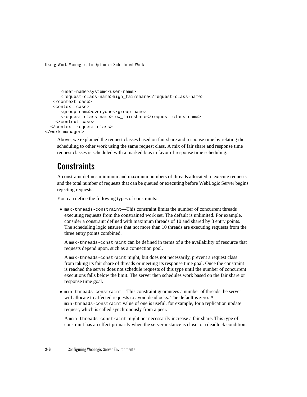```
<user-name>system</user-name>
     <request-class-name>high_fairshare</request-class-name> 
   </context-case>
   <context-case>
     <group-name>everyone</group-name>
      <request-class-name>low_fairshare</request-class-name> 
    </context-case>
  </context-request-class>
</work-manager>
```
Above, we explained the request classes based on fair share and response time by relating the scheduling to other work using the same request class. A mix of fair share and response time request classes is scheduled with a marked bias in favor of response time scheduling.

### **Constraints**

A constraint defines minimum and maximum numbers of threads allocated to execute requests and the total number of requests that can be queued or executing before WebLogic Server begins rejecting requests.

You can define the following types of constraints:

<sup>z</sup> max-threads-constraint—This constraint limits the number of concurrent threads executing requests from the constrained work set. The default is unlimited. For example, consider a constraint defined with maximum threads of 10 and shared by 3 entry points. The scheduling logic ensures that not more than 10 threads are executing requests from the three entry points combined.

A max-threads-constraint can be defined in terms of a the availability of resource that requests depend upon, such as a connection pool.

A max-threads-constraint might, but does not necessarily, prevent a request class from taking its fair share of threads or meeting its response time goal. Once the constraint is reached the server does not schedule requests of this type until the number of concurrent executions falls below the limit. The server then schedules work based on the fair share or response time goal.

<sup>z</sup> min-threads-constraint—This constraint guarantees a number of threads the server will allocate to affected requests to avoid deadlocks. The default is zero. A min-threads-constraint value of one is useful, for example, for a replication update request, which is called synchronously from a peer.

A min-threads-constraint might not necessarily increase a fair share. This type of constraint has an effect primarily when the server instance is close to a deadlock condition.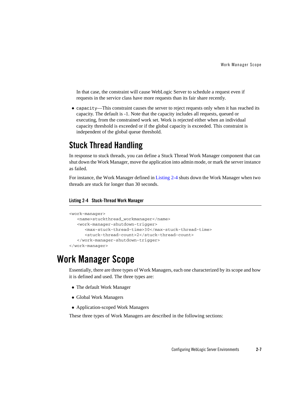In that case, the constraint will cause WebLogic Server to schedule a request even if requests in the service class have more requests than its fair share recently.

• capacity—This constraint causes the server to reject requests only when it has reached its capacity. The default is -1. Note that the capacity includes all requests, queued or executing, from the constrained work set. Work is rejected either when an individual capacity threshold is exceeded or if the global capacity is exceeded. This constraint is independent of the global queue threshold.

### **Stuck Thread Handling**

In response to stuck threads, you can define a Stuck Thread Work Manager component that can shut down the Work Manager, move the application into admin mode, or mark the server instance as failed.

For instance, the Work Manager defined in Listing 2-4 shuts down the Work Manager when two threads are stuck for longer than 30 seconds.

#### **Listing 2-4 Stuck-Thread Work Manager**

```
<work-manager>
  <name>stuckthread_workmanager</name>
   <work-manager-shutdown-trigger>
      <max-stuck-thread-time>30</max-stuck-thread-time>
      <stuck-thread-count>2</stuck-thread-count>
   </work-manager-shutdown-trigger>
</work-manager>
```
### **Work Manager Scope**

Essentially, there are three types of Work Managers, each one characterized by its scope and how it is defined and used. The three types are:

- The default Work Manager
- Global Work Managers
- Application-scoped Work Managers

These three types of Work Managers are described in the following sections: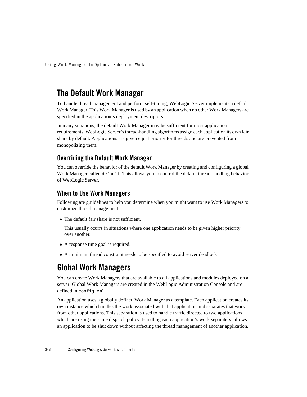### **The Default Work Manager**

To handle thread management and perform self-tuning, WebLogic Server implements a default Work Manager. This Work Manager is used by an application when no other Work Managers are specified in the application's deployment descriptors.

In many situations, the default Work Manager may be sufficient for most application requirements. WebLogic Server's thread-handling algorithms assign each application its own fair share by default. Applications are given equal priority for threads and are prevented from monopolizing them.

#### **Overriding the Default Work Manager**

You can override the behavior of the default Work Manager by creating and configuring a global Work Manager called default. This allows you to control the default thread-handling behavior of WebLogic Server.

#### **When to Use Work Managers**

Following are guildelines to help you determine when you might want to use Work Managers to customize thread management:

• The default fair share is not sufficient.

This usually ocurrs in situations where one application needs to be given higher priority over another.

- A response time goal is required.
- A minimum thread constraint needs to be specified to avoid server deadlock

### **Global Work Managers**

You can create Work Managers that are available to all applications and modules deployed on a server. Global Work Managers are created in the WebLogic Administration Console and are defined in config.xml.

An application uses a globally defined Work Manager as a template. Each application creates its own instance which handles the work associated with that application and separates that work from other applications. This separation is used to handle traffic directed to two applications which are using the same dispatch policy. Handling each application's work separately, allows an application to be shut down without affecting the thread management of another application.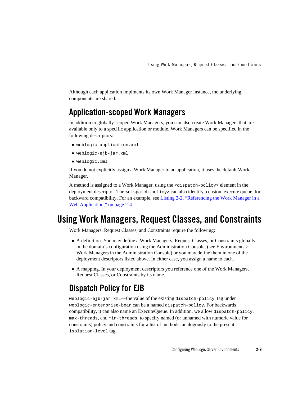Although each application implments its own Work Manager instance, the underlying components are shared.

### **Application-scoped Work Managers**

In addition to globally-scoped Work Managers, you can also create Work Managers that are available only to a specific application or module. Work Managers can be specified in the following descriptors:

- $\bullet$  weblogic-application.xml
- weblogic-ejb-jar.xml
- $\bullet$  weblogic.xml

If you do not explicitly assign a Work Manager to an application, it uses the default Work Manager.

A method is assigned to a Work Manager, using the <dispatch-policy> element in the deployment descriptor. The <dispatch-policy> can also identify a custom execute queue, for backward compatibility. For an example, see Listing 2-2, "Referencing the Work Manager in a Web Application," on page 2-4.

### **Using Work Managers, Request Classes, and Constraints**

Work Managers, Request Classes, and Constraints require the following:

- A definition. You may define a Work Managers, Request Classes, or Constraints globally in the domain's configuration using the Administration Console, (see Environments > Work Managers in the Administration Console) or you may define them in one of the deployment descriptors listed above. In either case, you assign a name to each.
- A mapping. In your deployment descriptors you reference one of the Work Managers, Request Classes, or Constraints by its name.

### **Dispatch Policy for EJB**

weblogic-ejb-jar.xml—the value of the existing dispatch-policy tag under weblogic-enterprise-bean can be a named dispatch-policy. For backwards compatibility, it can also name an ExecuteQueue. In addition, we allow dispatch-policy, max-threads, and min-threads, to specify named (or unnamed with numeric value for constraints) policy and constraints for a list of methods, analogously to the present isolation-level tag.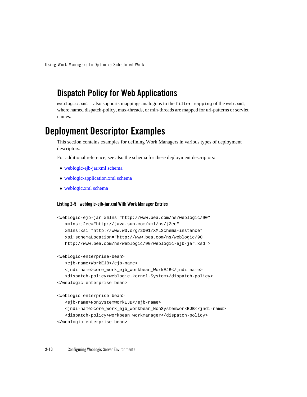### **Dispatch Policy for Web Applications**

weblogic.xml—also supports mappings analogous to the filter-mapping of the web.xml, where named dispatch-policy, max-threads, or min-threads are mapped for url-patterns or servlet names.

### **Deployment Descriptor Examples**

This section contains examples for defining Work Managers in various types of deployment descriptors.

For additional reference, see also the schema for these deployment descriptors:

- weblogic-ejb-jar.xml schema
- weblogic-application.xml schema
- $\bullet$  weblogic.xml schema

#### **Listing 2-5 weblogic-ejb-jar.xml With Work Manager Entries**

```
<weblogic-ejb-jar xmlns="http://www.bea.com/ns/weblogic/90"
  xmlns:j2ee="http://java.sun.com/xml/ns/j2ee"
  xmlns:xsi="http://www.w3.org/2001/XMLSchema-instance"
  xsi:schemaLocation="http://www.bea.com/ns/weblogic/90
  http://www.bea.com/ns/weblogic/90/weblogic-ejb-jar.xsd">
<weblogic-enterprise-bean>
   <ejb-name>WorkEJB</ejb-name> 
   <jndi-name>core_work_ejb_workbean_WorkEJB</jndi-name> 
   <dispatch-policy>weblogic.kernel.System</dispatch-policy> 
</weblogic-enterprise-bean>
<weblogic-enterprise-bean>
   <ejb-name>NonSystemWorkEJB</ejb-name> 
   <jndi-name>core_work_ejb_workbean_NonSystemWorkEJB</jndi-name>
   <dispatch-policy>workbean_workmanager</dispatch-policy> 
</weblogic-enterprise-bean>
```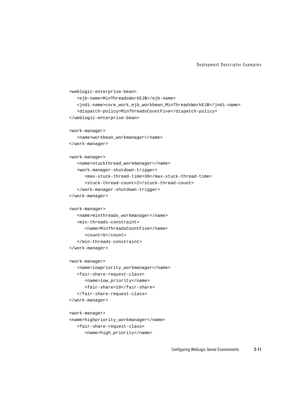#### Deployment Descriptor Examples

```
<weblogic-enterprise-bean>
  <ejb-name>MinThreadsWorkEJB</ejb-name> 
  <jndi-name>core_work_ejb_workbean_MinThreadsWorkEJB</jndi-name>
   <dispatch-policy>MinThreadsCountFive</dispatch-policy> 
</weblogic-enterprise-bean>
<work-manager>
   <name>workbean_workmanager</name>
</work-manager>
<work-manager>
  <name>stuckthread_workmanager</name>
  <work-manager-shutdown-trigger>
      <max-stuck-thread-time>30</max-stuck-thread-time>
      <stuck-thread-count>2</stuck-thread-count>
  </work-manager-shutdown-trigger>
</work-manager>
<work-manager>
  <name>minthreads_workmanager</name>
  <min-threads-constraint>
      <name>MinThreadsCountFive</name>
      <count>5</count>
  </min-threads-constraint>
</work-manager>
<work-manager>
  <name>lowpriority_workmanager</name> 
  <fair-share-request-class>
      <name>low_priority</name>
      <fair-share>10</fair-share> 
   </fair-share-request-class>
</work-manager>
<work-manager>
<name>highpriority_workmanager</name>
  <fair-share-request-class>
```
<name>high\_priority</name>

Configuring WebLogic Server Environments **2-11**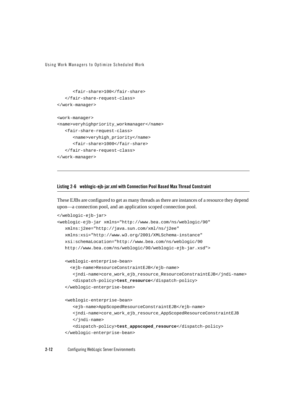```
<fair-share>100</fair-share> 
   </fair-share-request-class>
</work-manager>
<work-manager>
<name>veryhighpriority_workmanager</name>
   <fair-share-request-class>
      <name>veryhigh_priority</name> 
      <fair-share>1000</fair-share> 
   </fair-share-request-class>
</work-manager>
```
#### **Listing 2-6 weblogic-ejb-jar.xml with Connection Pool Based Max Thread Constraint**

These EJBs are configured to get as many threads as there are instances of a resource they depend upon—a connection pool, and an application scoped connection pool.

```
</weblogic-ejb-jar>
<weblogic-ejb-jar xmlns="http://www.bea.com/ns/weblogic/90"
  xmlns:j2ee="http://java.sun.com/xml/ns/j2ee"
   xmlns:xsi="http://www.w3.org/2001/XMLSchema-instance"
   xsi:schemaLocation="http://www.bea.com/ns/weblogic/90
   http://www.bea.com/ns/weblogic/90/weblogic-ejb-jar.xsd">
    <weblogic-enterprise-bean>
      <ejb-name>ResourceConstraintEJB</ejb-name> 
       <jndi-name>core_work_ejb_resource_ResourceConstraintEJB</jndi-name> 
       <dispatch-policy>test_resource</dispatch-policy> 
   </weblogic-enterprise-bean>
   <weblogic-enterprise-bean>
      <ejb-name>AppScopedResourceConstraintEJB</ejb-name> 
      <jndi-name>core_work_ejb_resource_AppScopedResourceConstraintEJB
      </jndi-name>
      <dispatch-policy>test_appscoped_resource</dispatch-policy> 
   </weblogic-enterprise-bean>
```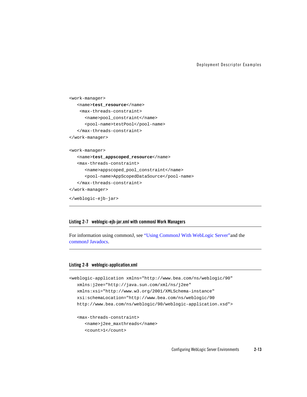Deployment Descriptor Examples

```
<work-manager>
  <name>test_resource</name>
    <max-threads-constraint>
      <name>pool_constraint</name>
      <pool-name>testPool</pool-name>
  </max-threads-constraint>
</work-manager>
<work-manager>
  <name>test_appscoped_resource</name>
  <max-threads-constraint>
      <name>appscoped_pool_constraint</name>
      <pool-name>AppScopedDataSource</pool-name>
  </max-threads-constraint>
</work-manager>
</weblogic-ejb-jar>
```
#### **Listing 2-7 weblogic-ejb-jar.xml with commonJ Work Managers**

For information using commonJ, see "Using CommonJ With WebLogic Server"and the commonJ Javadocs.

#### **Listing 2-8 weblogic-application.xml**

```
<weblogic-application xmlns="http://www.bea.com/ns/weblogic/90"
  xmlns:j2ee="http://java.sun.com/xml/ns/j2ee"
  xmlns:xsi="http://www.w3.org/2001/XMLSchema-instance"
  xsi:schemaLocation="http://www.bea.com/ns/weblogic/90
  http://www.bea.com/ns/weblogic/90/weblogic-application.xsd">
  <max-threads-constraint>
      <name>j2ee_maxthreads</name> 
      <count>1</count>
```
Configuring WebLogic Server Environments **2-13**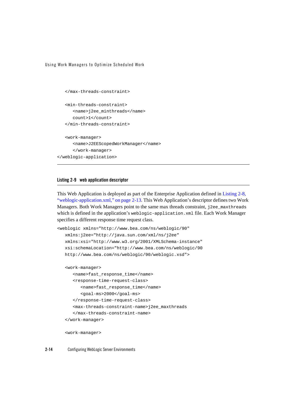```
</max-threads-constraint>
   <min-threads-constraint>
      <name>j2ee_minthreads</name> 
      count>1</count> 
   </min-threads-constraint>
   <work-manager>
      <name>J2EEScopedWorkManager</name> 
      </work-manager>
</weblogic-application>
```
#### **Listing 2-9 web application descriptor**

This Web Application is deployed as part of the Enterprise Application defined in Listing 2-8, "weblogic-application.xml," on page 2-13. This Web Application's descriptor defines two Work Managers. Both Work Managers point to the same max threads constraint, j2ee\_maxthreads which is defined in the application's weblogic-application.xml file. Each Work Manager specifies a different response time request class.

```
<weblogic xmlns="http://www.bea.com/ns/weblogic/90"
  xmlns:j2ee="http://java.sun.com/xml/ns/j2ee"
  xmlns:xsi="http://www.w3.org/2001/XMLSchema-instance"
  xsi:schemaLocation="http://www.bea.com/ns/weblogic/90
  http://www.bea.com/ns/weblogic/90/weblogic.xsd">
  <work-manager>
     <name>fast_response_time</name> 
      <response-time-request-class>
         <name>fast_response_time</name> 
         <goal-ms>2000</goal-ms> 
      </response-time-request-class>
      <max-threads-constraint-name>j2ee_maxthreads
      </max-threads-constraint-name>
   </work-manager>
```
<work-manager>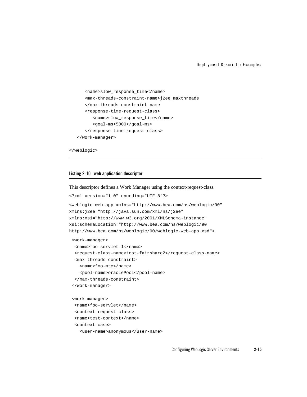Deployment Descriptor Examples

```
<name>slow_response_time</name> 
   <max-threads-constraint-name>j2ee_maxthreads
   </max-threads-constraint-name
   <response-time-request-class>
      <name>slow_response_time</name> 
      <goal-ms>5000</goal-ms> 
   </response-time-request-class>
</work-manager>
```
</weblogic>

#### **Listing 2-10 web application descriptor**

This descriptor defines a Work Manager using the context-request-class.

```
<?xml version="1.0" encoding="UTF-8"?>
<weblogic-web-app xmlns="http://www.bea.com/ns/weblogic/90"
xmlns:j2ee="http://java.sun.com/xml/ns/j2ee"
xmlns:xsi="http://www.w3.org/2001/XMLSchema-instance"
xsi:schemaLocation="http://www.bea.com/ns/weblogic/90
http://www.bea.com/ns/weblogic/90/weblogic-web-app.xsd">
 <work-manager>
  <name>foo-servlet-1</name>
  <request-class-name>test-fairshare2</request-class-name>
  <max-threads-constraint>
    <name>foo-mtc</name>
    <pool-name>oraclePool</pool-name>
  </max-threads-constraint>
 </work-manager>
 <work-manager>
  <name>foo-servlet</name>
  <context-request-class>
  <name>test-context</name>
  <context-case>
    <user-name>anonymous</user-name>
```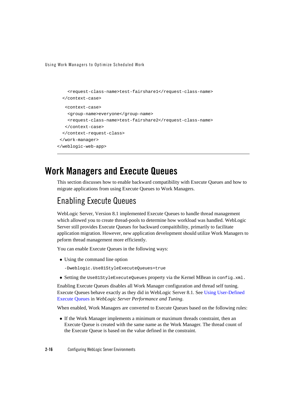```
<request-class-name>test-fairshare1</request-class-name> 
  </context-case>
   <context-case>
    <group-name>everyone</group-name>
    <request-class-name>test-fairshare2</request-class-name> 
   </context-case>
  </context-request-class>
</work-manager>
</weblogic-web-app>
```
### **Work Managers and Execute Queues**

This section discusses how to enable backward compatibility with Execute Queues and how to migrate applications from using Execute Queues to Work Managers.

### Enabling Execute Queues

WebLogic Server, Version 8.1 implemented Execute Queues to handle thread management which allowed you to create thread-pools to determine how workload was handled. WebLogic Server still provides Execute Queues for backward compaitibility, primarily to facilitate application migration. However, new application development should utilize Work Managers to peform thread management more efficiently.

You can enable Execute Queues in the following ways:

• Using the command line option

-Dweblogic.Use81StyleExecuteQueues=true

• Setting the Use81StyleExecuteQueues property via the Kernel MBean in config.xml.

Enabling Execute Queues disables all Work Manager configuration and thread self tuning. Execute Queues behave exactly as they did in WebLogic Server 8.1. See Using User-Defined Execute Queues in *WebLogic Server Performance and Tuning*.

When enabled, Work Managers are converted to Execute Queues based on the following rules:

• If the Work Manager implements a minimum or maximum threads constraint, then an Execute Queue is created with the same name as the Work Manager. The thread count of the Execute Queue is based on the value defined in the constraint.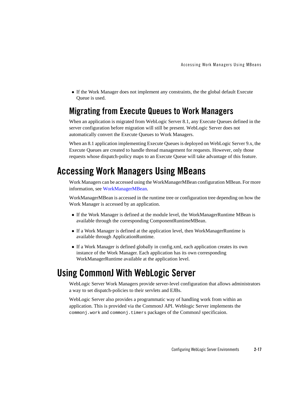• If the Work Manager does not implement any constraints, the the global default Execute Queue is used.

### **Migrating from Execute Queues to Work Managers**

When an application is migrated from WebLogic Server 8.1, any Execute Queues defined in the server configuration before migration will still be present. WebLogic Server does not automatically convert the Execute Queues to Work Managers.

When an 8.1 application implementing Execute Queues is deployed on WebLogic Server 9.x, the Execute Queues are created to handle thread management for requests. However, only those requests whose dispatch-policy maps to an Execute Queue will take advantage of this feature.

### **Accessing Work Managers Using MBeans**

Work Managers can be accessed using the WorkManagerMBean configuration MBean. For more information, see WorkManagerMBean.

WorkManagerMBean is accessed in the runtime tree or configuration tree depending on how the Work Manager is accessed by an application.

- If the Work Manager is defined at the module level, the WorkManagerRuntime MBean is available through the corresponding ComponentRuntimeMBean.
- If a Work Manager is defined at the application level, then WorkManagerRuntime is available through ApplicationRuntime.
- If a Work Manager is defined globally in config.xml, each application creates its own instance of the Work Manager. Each application has its own corresponding WorkManagerRuntime available at the application level.

### **Using CommonJ With WebLogic Server**

WebLogic Server Work Managers provide server-level configuration that allows administrators a way to set dispatch-policies to their servlets and EJBs.

WebLogic Server also provides a programmatic way of handling work from within an application. This is provided via the CommonJ API. Weblogic Server implements the commonj.work and commonj.timers packages of the CommonJ specificaion.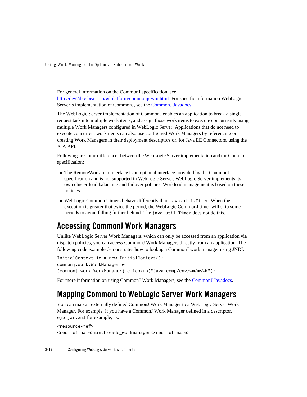For general information on the CommonJ specification, see http://dev2dev.bea.com/wlplatform/commonj/twm.html. For specific information WebLogic Server's implementation of CommonJ, see the CommonJ Javadocs.

The WebLogic Server implementation of CommonJ enables an application to break a single request task into multiple work items, and assign those work items to execute concurrently using multiple Work Managers configured in WebLogic Server. Applications that do not need to execute concurrent work items can also use configured Work Managers by referencing or creating Work Managers in their deployment descriptors or, for Java EE Connectors, using the JCA API.

Following are some differences between the WebLogic Server implementation and the CommonJ specification:

- The RemoteWorkItem interface is an optional interface provided by the CommonJ specification and is not supported in WebLogic Server. WebLogic Server implements its own cluster load balancing and failover policies. Workload management is based on these policies.
- WebLogic CommonJ timers behave differently than java.util.Timer. When the execution is greater that twice the period, the WebLogic CommonJ timer will skip some periods to avoid falling further behind. The java.util.Timer does not do this.

### **Accessing CommonJ Work Managers**

Unlike WebLogic Server Work Managers, which can only be accessed from an application via dispatch policies, you can access CommonJ Work Managers directly from an application. The following code example demonstrates how to lookup a CommonJ work manager using JNDI:

```
InitialContext ic = new InitialContext();
commonj.work.WorkManager wm = 
(commonj.work.WorkManager)ic.lookup("java:comp/env/wm/myWM");
```
For more information on using CommonJ Work Managers, see the CommonJ Javadocs.

### **Mapping CommonJ to WebLogic Server Work Managers**

You can map an externally defined CommonJ Work Manager to a WebLogic Server Work Manager. For example, if you have a CommonJ Work Manager defined in a descriptor, ejb-jar.xml for example, as:

```
<resource-ref>
<res-ref-name>minthreads_workmanager</res-ref-name>
```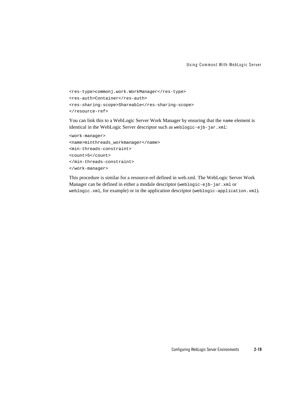```
<res-type>commonj.work.WorkManager</res-type>
<res-auth>Container</res-auth>
<res-sharing-scope>Shareable</res-sharing-scope>
</resource-ref>
```
You can link this to a WebLogic Server Work Manager by ensuring that the name element is identical in the WebLogic Server descriptor such as weblogic-ejb-jar.xml:

```
<work-manager>
<name>minthreads_workmanager</name>
<min-threads-constraint>
<count>5</count>
</min-threads-constraint>
</work-manager>
```
This procedure is similar for a resource-ref defined in web.xml. The WebLogic Server Work Manager can be defined in either a module descriptor (weblogic-ejb-jar.xml or weblogic.xml, for example) or in the application descriptor (weblogic-application.xml).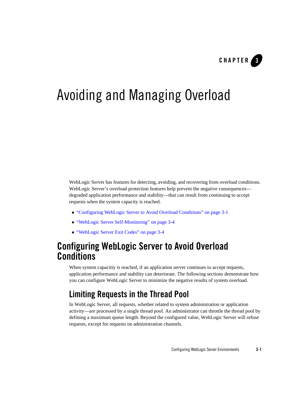

# Avoiding and Managing Overload

WebLogic Server has features for detecting, avoiding, and recovering from overload conditions. WebLogic Server's overload protection features help prevent the negative consequences degraded application performance and stability—that can result from continuing to accept requests when the system capacity is reached.

- <sup>z</sup> "Configuring WebLogic Server to Avoid Overload Conditions" on page 3-1
- <sup>z</sup> "WebLogic Server Self-Monitoring" on page 3-4
- "WebLogic Server Exit Codes" on page 3-4

### **Configuring WebLogic Server to Avoid Overload Conditions**

When system capacitiy is reached, if an application server continues to accept requests, application performance and stability can deteriorate. The following sections demonstrate how you can configure WebLogic Server to minimize the negative results of system overload.

### **Limiting Requests in the Thread Pool**

In WebLogic Server, all requests, whether related to system administration or application activity—are processed by a single thread pool. An administrator can throttle the thread pool by defining a maximum queue length. Beyond the configured value, WebLogic Server will refuse requests, except for requests on administration channels.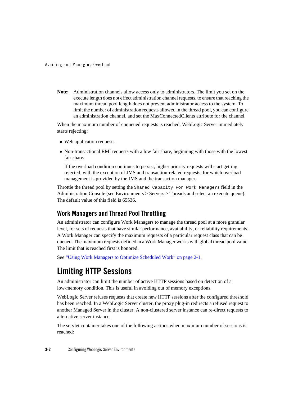Avoiding and Managing Overload

**Note:** Administration channels allow access only to administrators. The limit you set on the execute length does not effect administration channel requests, to ensure that reaching the maximum thread pool length does not prevent administrator access to the system. To limit the number of administration requests allowed in the thread pool, you can configure an administration channel, and set the MaxConnectedClients attribute for the channel.

When the maximum number of enqueued requests is reached, WebLogic Server immediately starts rejecting:

- Web application requests.
- Non-transactional RMI requests with a low fair share, beginning with those with the lowest fair share*.*

If the overload condition continues to persist, higher priority requests will start getting rejected, with the exception of JMS and transaction-related requests, for which overload management is provided by the JMS and the transaction manager.

Throttle the thread pool by setting the Shared Capacity For Work Managers field in the Administration Console (see Environments > Servers > Threads and select an execute queue). The default value of this field is 65536.

### **Work Managers and Thread Pool Throttling**

An administrator can configure Work Managers to manage the thread pool at a more granular level, for sets of requests that have similar performance, availability, or reliability requirements. A Work Manager can specify the maximum requests of a particular request class that can be queued. The maximum requests defined in a Work Manager works with global thread pool value. The limit that is reached first is honored.

See "Using Work Managers to Optimize Scheduled Work" on page 2-1.

### **Limiting HTTP Sessions**

An administrator can limit the number of active HTTP sessions based on detection of a low-memory condition. This is useful in avoiding out of memory exceptions.

WebLogic Server refuses requests that create new HTTP sessions after the configured threshold has been reached. In a WebLogic Server cluster, the proxy plug-in redirects a refused request to another Managed Server in the cluster. A non-clustered server instance can re-direct requests to alternative server instance.

The servlet container takes one of the following actions when maximum number of sessions is reached: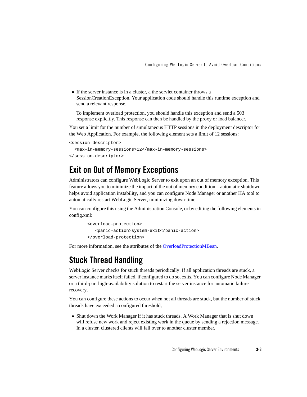$\bullet$  If the server instance is in a cluster, a the servlet container throws a SessionCreationException. Your application code should handle this runtime exception and send a relevant response.

To implement overload protection, you should handle this exception and send a 503 response explicitly. This response can then be handled by the proxy or load balancer.

You set a limit for the number of simultaneous HTTP sessions in the deployment descriptor for the Web Application. For example, the following element sets a limit of 12 sessions:

```
<session-descriptor>
  <max-in-memory-sessions>12</max-in-memory-sessions>
</session-descriptor>
```
### **Exit on Out of Memory Exceptions**

Administrators can configure WebLogic Server to exit upon an out of memory exception. This feature allows you to minimize the impact of the out of memory condition—automatic shutdown helps avoid application instability, and you can configure Node Manager or another HA tool to automatically restart WebLogic Server, minimizing down-time.

You can configure this using the Administration Console, or by editing the following elements in config.xml:

```
<overload-protection>
   <panic-action>system-exit</panic-action>
</overload-protection>
```
For more information, see the attributes of the OverloadProtectionMBean.

### **Stuck Thread Handling**

WebLogic Server checks for stuck threads periodically. If all application threads are stuck, a server instance marks itself failed, if configured to do so, exits. You can configure Node Manager or a third-part high-availability solution to restart the server instance for automatic failure recovery.

You can configure these actions to occur when not all threads are stuck, but the number of stuck threads have exceeded a configured threshold,

• Shut down the Work Manager if it has stuck threads. A Work Manager that is shut down will refuse new work and reject existing work in the queue by sending a rejection message. In a cluster, clustered clients will fail over to another cluster member.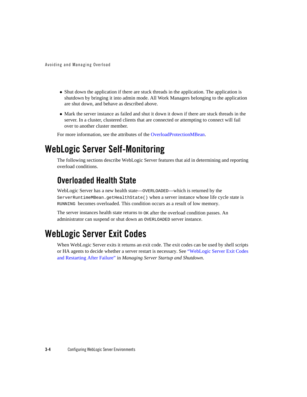Avoiding and Managing Overload

- Shut down the application if there are stuck threads in the application. The application is shutdown by bringing it into admin mode. All Work Managers belonging to the application are shut down, and behave as described above.
- Mark the server instance as failed and shut it down it down if there are stuck threads in the server. In a cluster, clustered clients that are connected or attempting to connect will fail over to another cluster member.

For more information, see the attributes of the OverloadProtectionMBean.

### **WebLogic Server Self-Monitoring**

The following sections describe WebLogic Server features that aid in determining and reporting overload conditions.

### **Overloaded Health State**

WebLogic Server has a new health state—OVERLOADED—which is returned by the ServerRuntimeMBean.getHealthState() when a server instance whose life cycle state is RUNNING becomes overloaded. This condition occurs as a result of low memory.

The server instances health state returns to  $\alpha$  after the overload condition passes. An administrator can suspend or shut down an OVERLOADED server instance.

### **WebLogic Server Exit Codes**

When WebLogic Server exits it returns an exit code. The exit codes can be used by shell scripts or HA agents to decide whether a server restart is necessary. See "WebLogic Server Exit Codes and Restarting After Failure" in *Managing Server Startup and Shutdown*.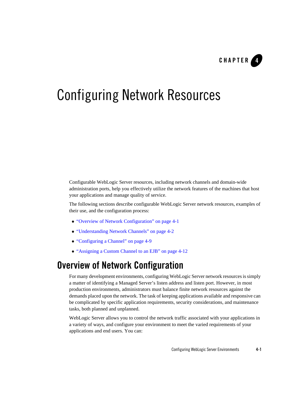

# Configuring Network Resources

Configurable WebLogic Server resources, including network channels and domain-wide administration ports, help you effectively utilize the network features of the machines that host your applications and manage quality of service.

The following sections describe configurable WebLogic Server network resources, examples of their use, and the configuration process:

- "Overview of Network Configuration" on page 4-1
- "Understanding Network Channels" on page 4-2
- "Configuring a Channel" on page 4-9
- "Assigning a Custom Channel to an EJB" on page 4-12

### **Overview of Network Configuration**

For many development environments, configuring WebLogic Server network resources is simply a matter of identifying a Managed Server's listen address and listen port. However, in most production environments, administrators must balance finite network resources against the demands placed upon the network. The task of keeping applications available and responsive can be complicated by specific application requirements, security considerations, and maintenance tasks, both planned and unplanned.

WebLogic Server allows you to control the network traffic associated with your applications in a variety of ways, and configure your environment to meet the varied requirements of your applications and end users. You can: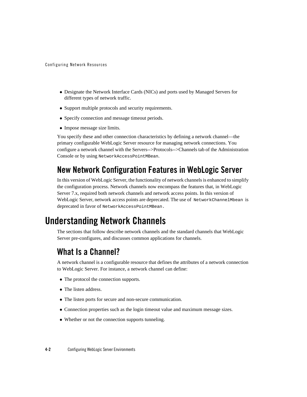Configuring Network Resources

- Designate the Network Interface Cards (NICs) and ports used by Managed Servers for different types of network traffic.
- Support multiple protocols and security requirements.
- Specify connection and message timeout periods.
- Impose message size limits.

You specify these and other connection characteristics by defining a network channel—the primary configurable WebLogic Server resource for managing network connections. You configure a network channel with the Servers-->Protocols-->Channels tab of the Administration Console or by using NetworkAccessPointMBean.

### **New Network Configuration Features in WebLogic Server**

In this version of WebLogic Server, the functionality of network channels is enhanced to simplify the configuration process. Network channels now encompass the features that, in WebLogic Server 7.x, required both network channels and network access points. In this version of WebLogic Server, network access points are deprecated. The use of NetworkChannelMbean is deprecated in favor of NetworkAccessPointMBean.

### **Understanding Network Channels**

The sections that follow describe network channels and the standard channels that WebLogic Server pre-configures, and discusses common applications for channels.

### **What Is a Channel?**

A network channel is a configurable resource that defines the attributes of a network connection to WebLogic Server. For instance, a network channel can define:

- The protocol the connection supports.
- The listen address.
- The listen ports for secure and non-secure communication.
- Connection properties such as the login timeout value and maximum message sizes.
- Whether or not the connection supports tunneling.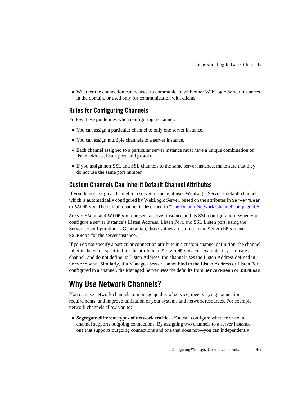• Whether the connection can be used to communicate with other WebLogic Server instances in the domain, or used only for communication with clients.

### **Rules for Configuring Channels**

Follow these guidelines when configuring a channel.

- You can assign a particular channel to only one server instance.
- You can assign multiple channels to a server instance.
- Each channel assigned to a particular server instance must have a unique combination of listen address, listen port, and protocol.
- If you assign non-SSL and SSL channels to the same server instance, make sure that they do not use the same port number.

### **Custom Channels Can Inherit Default Channel Attributes**

If you do not assign a channel to a server instance, it uses WebLogic Server's default channel, which is automatically configured by WebLogic Server, based on the attributes in ServerMBean or SSLMBean. The default channel is described in "The Default Network Channel" on page 4-5.

ServerMBean and SSLMBean represent a server instance and its SSL configuration. When you configure a server instance's Listen Address, Listen Port, and SSL Listen port, using the Server-->Configuration-->General tab, those values are stored in the ServerMBean and SSLMBean for the server instance.

If you do not specify a particular connection attribute in a custom channel definition, the channel inherits the value specified for the attribute in ServerMBean. For example, if you create a channel, and do not define its Listen Address, the channel uses the Listen Address defined in ServerMBean. Similarly, if a Managed Server cannot bind to the Listen Address or Listen Port configured in a channel, the Managed Server uses the defaults from ServerMBean or SSLMBean.

# **Why Use Network Channels?**

You can use network channels to manage quality of service, meet varying connection requirements, and improve utilization of your systems and network resources. For example, network channels allow you to:

• Segregate different types of network traffic—You can configure whether or not a channel supports outgoing connections. By assigning two channels to a server instance one that supports outgoing connections and one that does not—you can independently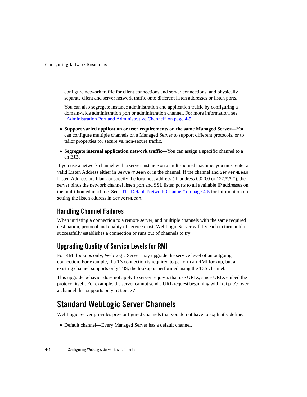Configuring Network Resources

configure network traffic for client connections and server connections, and physically separate client and server network traffic onto different listen addresses or listen ports.

You can also segregate instance administration and application traffic by configuring a domain-wide administration port or administration channel. For more information, see "Administration Port and Administrative Channel" on page 4-5.

- **Support varied application or user requirements on the same Managed Server—You** can configure multiple channels on a Managed Server to support different protocols, or to tailor properties for secure vs. non-secure traffic.
- Segregate internal application network traffic—You can assign a specific channel to a an EJB.

If you use a network channel with a server instance on a multi-homed machine, you must enter a valid Listen Address either in ServerMBean or in the channel. If the channel and ServerMBean Listen Address are blank or specify the localhost address (IP address 0.0.0.0 or 127.\*.\*.\*), the server binds the network channel listen port and SSL listen ports to all available IP addresses on the multi-homed machine. See "The Default Network Channel" on page 4-5 for information on setting the listen address in ServerMBean.

### **Handling Channel Failures**

When initiating a connection to a remote server, and multiple channels with the same required destination, protocol and quality of service exist, WebLogic Server will try each in turn until it successfully establishes a connection or runs out of channels to try.

### **Upgrading Quality of Service Levels for RMI**

For RMI lookups only, WebLogic Server may upgrade the service level of an outgoing connection. For example, if a T3 connection is required to perform an RMI lookup, but an existing channel supports only T3S, the lookup is performed using the T3S channel.

This upgrade behavior does not apply to server requests that use URLs, since URLs embed the protocol itself. For example, the server cannot send a URL request beginning with http:// over a channel that supports only https://.

# **Standard WebLogic Server Channels**

WebLogic Server provides pre-configured channels that you do not have to explicitly define.

• Default channel—Every Managed Server has a default channel.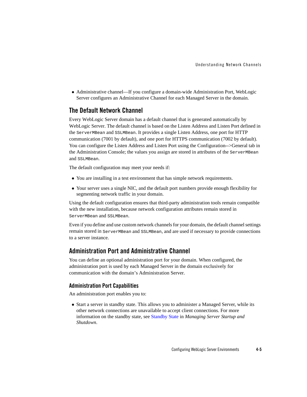Understanding Network Channels

• Administrative channel—If you configure a domain-wide Administration Port, WebLogic Server configures an Administrative Channel for each Managed Server in the domain.

### **The Default Network Channel**

Every WebLogic Server domain has a default channel that is generated automatically by WebLogic Server. The default channel is based on the Listen Address and Listen Port defined in the ServerMBean and SSLMBean. It provides a single Listen Address, one port for HTTP communication (7001 by default), and one port for HTTPS communication (7002 by default). You can configure the Listen Address and Listen Port using the Configuration-->General tab in the Administration Console; the values you assign are stored in attributes of the ServerMBean and SSLMBean.

The default configuration may meet your needs if:

- You are installing in a test environment that has simple network requirements.
- Your server uses a single NIC, and the default port numbers provide enough flexibility for segmenting network traffic in your domain.

Using the default configuration ensures that third-party administration tools remain compatible with the new installation, because network configuration attributes remain stored in ServerMBean and SSLMBean.

Even if you define and use custom network channels for your domain, the default channel settings remain stored in ServerMBean and SSLMBean, and are used if necessary to provide connections to a server instance.

### **Administration Port and Administrative Channel**

You can define an optional administration port for your domain. When configured, the administration port is used by each Managed Server in the domain exclusively for communication with the domain's Administration Server.

#### **Administration Port Capabilities**

An administration port enables you to:

• Start a server in standby state. This allows you to administer a Managed Server, while its other network connections are unavailable to accept client connections. For more information on the standby state, see Standby State in *Managing Server Startup and Shutdown*.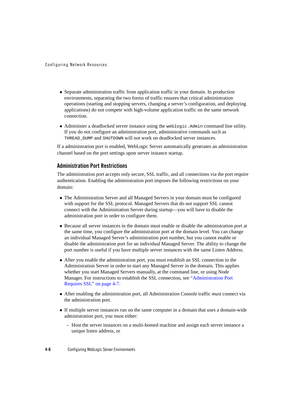#### Configuring Network Resources

- Separate administration traffic from application traffic in your domain. In production environments, separating the two forms of traffic ensures that critical administration operations (starting and stopping servers, changing a server's configuration, and deploying applications) do not compete with high-volume application traffic on the same network connection.
- Administer a deadlocked server instance using the weblogic.Admin command line utility. If you do not configure an administration port, administrative commands such as THREAD\_DUMP and SHUTDOWN will not work on deadlocked server instances.

If a administration port is enabled, WebLogic Server automatically generates an administration channel based on the port settings upon server instance startup.

#### **Administration Port Restrictions**

The administration port accepts only secure, SSL traffic, and all connections via the port require authentication. Enabling the administration port imposes the following restrictions on your domain:

- The Administration Server and all Managed Servers in your domain must be configured with support for the SSL protocol. Managed Servers that do not support SSL cannot connect with the Administration Server during startup—you will have to disable the administration port in order to configure them.
- Because all server instances in the domain must enable or disable the administration port at the same time, you configure the administration port at the domain level. You can change an individual Managed Server's administration port number, but you cannot enable or disable the administration port for an individual Managed Server. The ability to change the port number is useful if you have multiple server instances with the same Listen Address.
- After you enable the administration port, you must establish an SSL connection to the Administration Server in order to start any Managed Server in the domain. This applies whether you start Managed Servers manually, at the command line, or using Node Manager. For instructions to establish the SSL connection, see "Administration Port Requires SSL" on page 4-7.
- <sup>z</sup> After enabling the administration port, all Administration Console traffic *must* connect via the administration port.
- If multiple server instances run on the same computer in a domain that uses a domain-wide administration port, you must either:
	- Host the server instances on a multi-homed machine and assign each server instance a unique listen address, or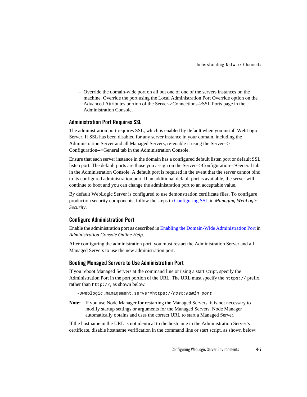– Override the domain-wide port on all but one of one of the servers instances on the machine. Override the port using the Local Administration Port Override option on the Advanced Attributes portion of the Server->Connections->SSL Ports page in the Administration Console.

#### **Administration Port Requires SSL**

The administration port requires SSL, which is enabled by default when you install WebLogic Server. If SSL has been disabled for any server instance in your domain, including the Administration Server and all Managed Servers, re-enable it using the Server--> Configuration-->General tab in the Administration Console.

Ensure that each server instance in the domain has a configured default listen port or default SSL listen port. The default ports are those you assign on the Server-->Configuration-->General tab in the Administration Console. A default port is required in the event that the server cannot bind to its configured administration port. If an additional default port is available, the server will continue to boot and you can change the administration port to an acceptable value.

By default WebLogic Server is configured to use demonstration certificate files. To configure production security components, follow the steps in Configuring SSL in *Managing WebLogic Security*.

#### **Configure Administration Port**

Enable the administration port as described in Enabling the Domain-Wide Administration Port in *Administration Console Online Help*.

After configuring the administration port, you must restart the Administration Server and all Managed Servers to use the new administration port.

#### **Booting Managed Servers to Use Administration Port**

If you reboot Managed Servers at the command line or using a start script, specify the Administration Port in the port portion of the URL. The URL must specify the https:// prefix, rather than http://, as shown below.

-Dweblogic.management.server=https://*host*:*admin\_port*

**Note:** If you use Node Manager for restarting the Managed Servers, it is not necessary to modify startup settings or arguments for the Managed Servers. Node Manager automatically obtains and uses the correct URL to start a Managed Server.

If the hostname in the URL is not identical to the hostname in the Administration Server's certificate, disable hostname verification in the command line or start script, as shown below: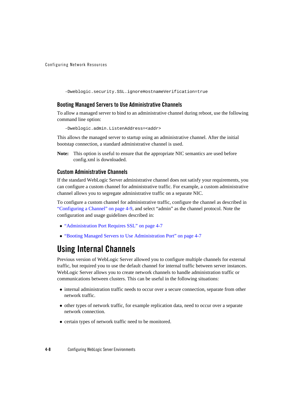Configuring Network Resources

-Dweblogic.security.SSL.ignoreHostnameVerification=true

#### **Booting Managed Servers to Use Administrative Channels**

To allow a managed server to bind to an administrative channel during reboot, use the following command line option:

-Dweblogic.admin.ListenAddress=<addr>

This allows the managed server to startup using an administrative channel. After the initial bootstap connection, a standard administrative channel is used.

**Note:** This option is useful to ensure that the appropriate NIC semantics are used before config.xml is downloaded.

#### **Custom Administrative Channels**

If the standard WebLogic Server administrative channel does not satisfy your requirements, you can configure a custom channel for administrative traffic. For example, a custom administrative channel allows you to segregate administrative traffic on a separate NIC.

To configure a custom channel for administrative traffic, configure the channel as described in "Configuring a Channel" on page 4-9, and select "admin" as the channel protocol. Note the configuration and usage guidelines described in:

- "Administration Port Requires SSL" on page 4-7
- <sup>z</sup> "Booting Managed Servers to Use Administration Port" on page 4-7

# **Using Internal Channels**

Previous version of WebLogic Server allowed you to configure multiple channels for external traffic, but required you to use the default channel for internal traffic between server instances. WebLogic Server allows you to create network channels to handle administration traffic or communications between clusters. This can be useful in the following situations:

- internal administration traffic needs to occur over a secure connection, separate from other network traffic.
- other types of network traffic, for example replication data, need to occur over a separate network connection.
- certain types of network traffic need to be monitored.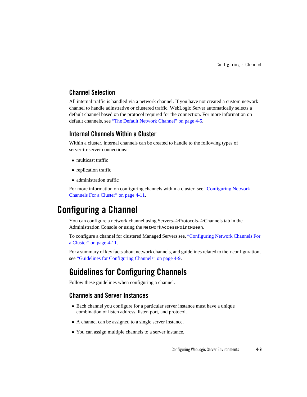### **Channel Selection**

All internal traffic is handled via a network channel. If you have not created a custom network channel to handle adinstrative or clustered traffic, WebLogic Server automatically selects a default channel based on the protocol required for the connection. For more information on default channels, see "The Default Network Channel" on page 4-5.

### **Internal Channels Within a Cluster**

Within a cluster, internal channels can be created to handle to the following types of server-to-server connections:

- multicast traffic
- replication traffic
- administration traffic

For more information on configuring channels within a cluster, see "Configuring Network Channels For a Cluster" on page 4-11.

# **Configuring a Channel**

You can configure a network channel using Servers-->Protocols-->Channels tab in the Administration Console or using the NetworkAccessPointMBean.

To configure a channel for clustered Managed Servers see, "Configuring Network Channels For a Cluster" on page 4-11.

For a summary of key facts about network channels, and guidelines related to their configuration, see "Guidelines for Configuring Channels" on page 4-9.

### **Guidelines for Configuring Channels**

Follow these guidelines when configuring a channel.

### **Channels and Server Instances**

- Each channel you configure for a particular server instance must have a unique combination of listen address, listen port, and protocol.
- A channel can be assigned to a single server instance.
- You can assign multiple channels to a server instance.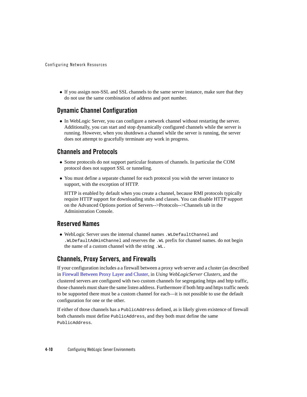• If you assign non-SSL and SSL channels to the same server instance, make sure that they do not use the same combination of address and port number.

### **Dynamic Channel Configuration**

• In WebLogic Server, you can configure a network channel without restarting the server. Additionally, you can start and stop dynamically configured channels while the server is running. However, when you shutdown a channel while the server is running, the server does not attempt to gracefully terminate any work in progress.

### **Channels and Protocols**

- Some protocols do not support particular features of channels. In particular the COM protocol does not support SSL or tunneling.
- You must define a separate channel for each protocol you wish the server instance to support, with the exception of HTTP.

HTTP is enabled by default when you create a channel, because RMI protocols typically require HTTP support for downloading stubs and classes. You can disable HTTP support on the Advanced Options portion of Servers-->Protocols-->Channels tab in the Administration Console.

### **Reserved Names**

<sup>z</sup> WebLogic Server uses the internal channel names .WLDefaultChannel and .WLDefaultAdminChannel and reserves the .WL prefix for channel names. do not begin the name of a custom channel with the string .WL.

### **Channels, Proxy Servers, and Firewalls**

If your configuration includes a a firewall between a proxy web server and a cluster (as described in Firewall Between Proxy Layer and Cluster, in *Using WebLogicServer Clusters*, and the clustered servers are configured with two custom channels for segregating https and http traffic, those channels must share the same listen address. Furthermore if both http and https traffic needs to be supported there must be a custom channel for each—it is not possible to use the default configuration for one or the other.

If either of those channels has a PublicAddress defined, as is likely given existence of firewall both channels must define PublicAddress, and they both must define the same PublicAddress.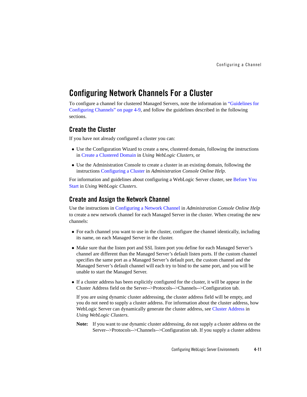## **Configuring Network Channels For a Cluster**

To configure a channel for clustered Managed Servers, note the information in "Guidelines for Configuring Channels" on page 4-9, and follow the guidelines described in the following sections.

### **Create the Cluster**

If you have not already configured a cluster you can:

- Use the Configuration Wizard to create a new, clustered domain, following the instructions in Create a Clustered Domain in *Using WebLogic Clusters*, or
- Use the Administration Console to create a cluster in an existing domain, following the instructions Configuring a Cluster in *Administration Console Online Help*.

For information and guidelines about configuring a WebLogic Server cluster, see Before You Start in *Using WebLogic Clusters*.

### **Create and Assign the Network Channel**

Use the instructions in Configuring a Network Channel in *Administration Console Online Help* to create a new network channel for each Managed Server in the cluster. When creating the new channels:

- For each channel you want to use in the cluster, configure the channel identically, including its name, on each Managed Server in the cluster.
- Make sure that the listen port and SSL listen port you define for each Managed Server's channel are different than the Managed Server's default listen ports. If the custom channel specifies the same port as a Managed Server's default port, the custom channel and the Managed Server's default channel will each try to bind to the same port, and you will be unable to start the Managed Server.
- If a cluster address has been explicitly configured for the cluster, it will be appear in the Cluster Address field on the Server-->Protocols-->Channels-->Configuration tab.

If you are using dynamic cluster addressing, the cluster address field will be empty, and you do not need to supply a cluster address. For information about the cluster address, how WebLogic Server can dynamically generate the cluster address, see Cluster Address in *Using WebLogic Clusters*.

**Note:** If you want to use dynamic cluster addressing, do not supply a cluster address on the Server-->Protocols-->Channels-->Configuration tab. If you supply a cluster address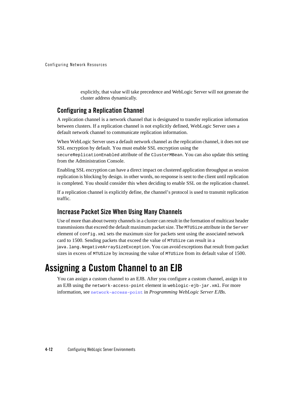Configuring Network Resources

explicitly, that value will take precedence and WebLogic Server will not generate the cluster address dynamically.

### **Configuring a Replication Channel**

A replication channel is a network channel that is designated to transfer replication information between clusters. If a replication channel is not explicitly defined, WebLogic Server uses a default network channel to communicate replication information.

When WebLogic Server uses a default network channel as the replication channel, it does not use SSL encryption by default. You must enable SSL encryption using the

secureReplicationEnabled attribute of the ClusterMBean. You can also update this setting from the Administration Console.

Enabling SSL encryption can have a direct impact on clustered application throughput as session replication is blocking by design. in other words, no response is sent to the client until replication is completed. You should consider this when deciding to enable SSL on the replication channel.

If a replication channel is explicitly define, the channel's protocol is used to transmit replication traffic.

### **Increase Packet Size When Using Many Channels**

Use of more than about twenty channels in a cluster can result in the formation of multicast header transmissions that exceed the default maximum packet size. The MTUSize attribute in the Server element of config.xml sets the maximum size for packets sent using the associated network card to 1500. Sending packets that exceed the value of MTUSize can result in a java.lang.NegativeArraySizeException. You can avoid exceptions that result from packet sizes in excess of MTUSize by increasing the value of MTUSize from its default value of 1500.

# **Assigning a Custom Channel to an EJB**

You can assign a custom channel to an EJB. After you configure a custom channel, assign it to an EJB using the network-access-point element in weblogic-ejb-jar.xml. For more information, see network-access-point in *Programming WebLogic Server EJBs*.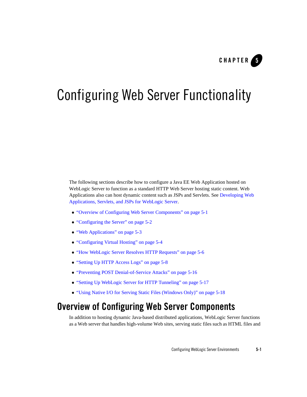

The following sections describe how to configure a Java EE Web Application hosted on WebLogic Server to function as a standard HTTP Web Server hosting static content. Web Applications also can host dynamic content such as JSPs and Servlets. See Developing Web Applications, Servlets, and JSPs for WebLogic Server.

- "Overview of Configuring Web Server Components" on page 5-1
- "Configuring the Server" on page 5-2
- "Web Applications" on page 5-3
- "Configuring Virtual Hosting" on page 5-4
- "How WebLogic Server Resolves HTTP Requests" on page 5-6
- "Setting Up HTTP Access Logs" on page 5-8
- "Preventing POST Denial-of-Service Attacks" on page 5-16
- "Setting Up WebLogic Server for HTTP Tunneling" on page 5-17
- "Using Native I/O for Serving Static Files (Windows Only)" on page 5-18

# **Overview of Configuring Web Server Components**

In addition to hosting dynamic Java-based distributed applications, WebLogic Server functions as a Web server that handles high-volume Web sites, serving static files such as HTML files and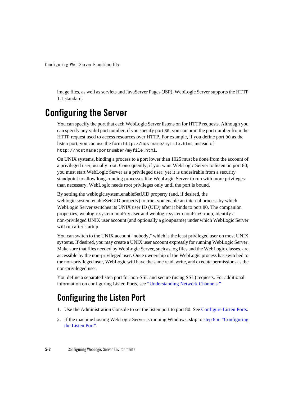image files, as well as servlets and JavaServer Pages (JSP). WebLogic Server supports the HTTP 1.1 standard.

# **Configuring the Server**

You can specify the port that each WebLogic Server listens on for HTTP requests. Although you can specify any valid port number, if you specify port 80, you can omit the port number from the HTTP request used to access resources over HTTP. For example, if you define port 80 as the listen port, you can use the form http://hostname/myfile.html instead of http://hostname:portnumber/myfile.html.

On UNIX systems, binding a process to a port lower than 1025 must be done from the account of a privileged user, usually root. Consequently, if you want WebLogic Server to listen on port 80, you must start WebLogic Server as a privileged user; yet it is undesirable from a security standpoint to allow long-running processes like WebLogic Server to run with more privileges than necessary. WebLogic needs root privileges only until the port is bound.

By setting the weblogic.system.enableSetUID property (and, if desired, the weblogic.system.enableSetGID property) to true, you enable an internal process by which WebLogic Server switches its UNIX user ID (UID) after it binds to port 80. The companion properties, weblogic.system.nonPrivUser and weblogic.system.nonPrivGroup, identify a non-privileged UNIX user account (and optionally a groupname) under which WebLogic Server will run after startup.

You can switch to the UNIX account "nobody," which is the least privileged user on most UNIX systems. If desired, you may create a UNIX user account expressly for running WebLogic Server. Make sure that files needed by WebLogic Server, such as log files and the WebLogic classes, are accessible by the non-privileged user. Once ownership of the WebLogic process has switched to the non-privileged user, WebLogic will have the same read, write, and execute permissions as the non-privileged user.

You define a separate listen port for non-SSL and secure (using SSL) requests. For additional information on configuring Listen Ports, see "Understanding Network Channels."

# **Configuring the Listen Port**

- 1. Use the Administration Console to set the listen port to port 80. See Configure Listen Ports.
- 2. If the machine hosting WebLogic Server is running Windows, skip to step 8 in "Configuring the Listen Port".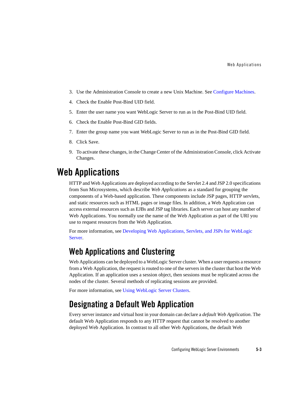- 3. Use the Administration Console to create a new Unix Machine. See Configure Machines.
- 4. Check the Enable Post-Bind UID field.
- 5. Enter the user name you want WebLogic Server to run as in the Post-Bind UID field.
- 6. Check the Enable Post-Bind GID fields.
- 7. Enter the group name you want WebLogic Server to run as in the Post-Bind GID field.
- 8. Click Save.
- 9. To activate these changes, in the Change Center of the Administration Console, click Activate Changes.

# **Web Applications**

HTTP and Web Applications are deployed according to the Servlet 2.4 and JSP 2.0 specifications from Sun Microsystems, which describe *Web Applications* as a standard for grouping the components of a Web-based application. These components include JSP pages, HTTP servlets, and static resources such as HTML pages or image files. In addition, a Web Application can access external resources such as EJBs and JSP tag libraries. Each server can host any number of Web Applications. You normally use the name of the Web Application as part of the URI you use to request resources from the Web Application.

For more information, see Developing Web Applications, Servlets, and JSPs for WebLogic Server.

### **Web Applications and Clustering**

Web Applications can be deployed to a WebLogic Server cluster. When a user requests a resource from a Web Application, the request is routed to one of the servers in the cluster that host the Web Application. If an application uses a session object, then sessions must be replicated across the nodes of the cluster. Several methods of replicating sessions are provided.

For more information, see Using WebLogic Server Clusters.

### **Designating a Default Web Application**

Every server instance and virtual host in your domain can declare a *default Web Application*. The default Web Application responds to any HTTP request that cannot be resolved to another deployed Web Application. In contrast to all other Web Applications, the default Web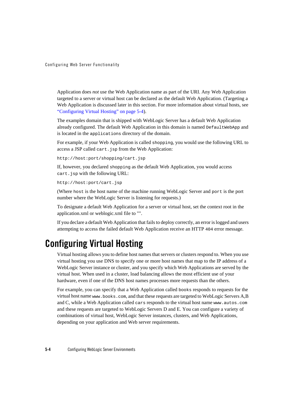Application does *not* use the Web Application name as part of the URI. Any Web Application targeted to a server or virtual host can be declared as the default Web Application. (Targeting a Web Application is discussed later in this section. For more information about virtual hosts, see "Configuring Virtual Hosting" on page 5-4).

The examples domain that is shipped with WebLogic Server has a default Web Application already configured. The default Web Application in this domain is named DefaultWebApp and is located in the applications directory of the domain.

For example, if your Web Application is called shopping, you would use the following URL to access a JSP called cart.jsp from the Web Application:

http://host:port/shopping/cart.jsp

If, however, you declared shopping as the default Web Application, you would access cart.jsp with the following URL:

http://host:port/cart.jsp

(Where host is the host name of the machine running WebLogic Server and port is the port number where the WebLogic Server is listening for requests.)

To designate a default Web Application for a server or virtual host, set the context root in the application.xml or weblogic.xml file to "".

If you declare a default Web Application that fails to deploy correctly, an error is logged and users attempting to access the failed default Web Application receive an HTTP 404 error message.

# **Configuring Virtual Hosting**

Virtual hosting allows you to define host names that servers or clusters respond to. When you use virtual hosting you use DNS to specify one or more host names that map to the IP address of a WebLogic Server instance or cluster, and you specify which Web Applications are served by the virtual host. When used in a cluster, load balancing allows the most efficient use of your hardware, even if one of the DNS host names processes more requests than the others.

For example, you can specify that a Web Application called books responds to requests for the virtual host name www.books.com, and that these requests are targeted to WebLogic Servers A,B and C, while a Web Application called cars responds to the virtual host name www.autos.com and these requests are targeted to WebLogic Servers D and E. You can configure a variety of combinations of virtual host, WebLogic Server instances, clusters, and Web Applications, depending on your application and Web server requirements.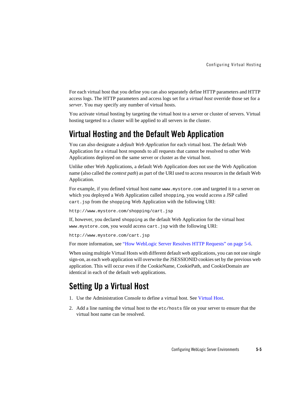For each virtual host that you define you can also separately define HTTP parameters and HTTP access logs. The HTTP parameters and access logs set for a *virtual host* override those set for a *server*. You may specify any number of virtual hosts.

You activate virtual hosting by targeting the virtual host to a server or cluster of servers. Virtual hosting targeted to a cluster will be applied to all servers in the cluster.

### **Virtual Hosting and the Default Web Application**

You can also designate a *default Web Application* for each virtual host. The default Web Application for a virtual host responds to all requests that cannot be resolved to other Web Applications deployed on the same server or cluster as the virtual host.

Unlike other Web Applications, a default Web Application does not use the Web Application name (also called the *context path*) as part of the URI used to access resources in the default Web Application.

For example, if you defined virtual host name www.mystore.com and targeted it to a server on which you deployed a Web Application called shopping, you would access a JSP called cart.jsp from the shopping Web Application with the following URI:

http://www.mystore.com/shopping/cart.jsp

If, however, you declared shopping as the default Web Application for the virtual host www.mystore.com, you would access cart.jsp with the following URI:

http://www.mystore.com/cart.jsp

For more information, see "How WebLogic Server Resolves HTTP Requests" on page 5-6.

When using multiple Virtual Hosts with different default web applications, you can not use single sign-on, as each web application will overwrite the JSESSIONID cookies set by the previous web application. This will occur even if the CookieName, CookiePath, and CookieDomain are identical in each of the default web applications.

# **Setting Up a Virtual Host**

- 1. Use the Administration Console to define a virtual host. See Virtual Host.
- 2. Add a line naming the virtual host to the etc/hosts file on your server to ensure that the virtual host name can be resolved.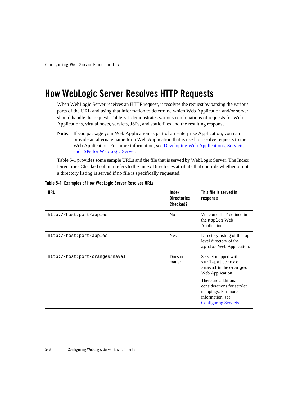# **How WebLogic Server Resolves HTTP Requests**

When WebLogic Server receives an HTTP request, it resolves the request by parsing the various parts of the URL and using that information to determine which Web Application and/or server should handle the request. Table 5-1 demonstrates various combinations of requests for Web Applications, virtual hosts, servlets, JSPs, and static files and the resulting response.

Table 5-1 provides some sample URLs and the file that is served by WebLogic Server. The Index Directories Checked column refers to the Index Directories attribute that controls whether or not a directory listing is served if no file is specifically requested.

| URL                            | Index<br><b>Directories</b><br><b>Checked?</b> | This file is served in<br>response                                                                                           |
|--------------------------------|------------------------------------------------|------------------------------------------------------------------------------------------------------------------------------|
| http://host:port/apples        | N <sub>0</sub>                                 | Welcome file* defined in<br>the apples Web<br>Application.                                                                   |
| http://host:port/apples        | Yes                                            | Directory listing of the top<br>level directory of the<br>apples Web Application.                                            |
| http://host:port/oranges/naval | Does not<br>matter                             | Servlet mapped with<br><url-pattern> of<br/>/naval in the oranges<br/>Web Application.</url-pattern>                         |
|                                |                                                | There are additional<br>considerations for servlet<br>mappings. For more<br>information, see<br><b>Configuring Servlets.</b> |

#### **Table 5-1 Examples of How WebLogic Server Resolves URLs**

**Note:** If you package your Web Application as part of an Enterprise Application, you can provide an alternate name for a Web Application that is used to resolve requests to the Web Application. For more information, see Developing Web Applications, Servlets, and JSPs for WebLogic Server.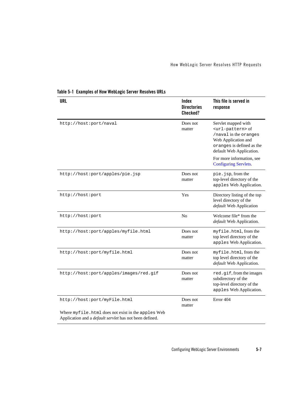| <b>URL</b>                                                                                                           | Index<br><b>Directories</b><br>Checked? | This file is served in<br>response                                                                                                                                 |
|----------------------------------------------------------------------------------------------------------------------|-----------------------------------------|--------------------------------------------------------------------------------------------------------------------------------------------------------------------|
| http://host:port/naval                                                                                               | Does not<br>matter                      | Servlet mapped with<br><url-pattern> of<br/>/naval in the oranges<br/>Web Application and<br/>oranges is defined as the<br/>default Web Application.</url-pattern> |
|                                                                                                                      |                                         | For more information, see<br><b>Configuring Servlets.</b>                                                                                                          |
| http://host:port/apples/pie.jsp                                                                                      | Does not<br>matter                      | pie.jsp, from the<br>top-level directory of the<br>apples Web Application.                                                                                         |
| http://host:port                                                                                                     | Yes                                     | Directory listing of the top<br>level directory of the<br>default Web Application                                                                                  |
| http://host:port                                                                                                     | N <sub>o</sub>                          | Welcome file* from the<br>default Web Application.                                                                                                                 |
| http://host:port/apples/myfile.html                                                                                  | Does not<br>matter                      | myfile.html, from the<br>top level directory of the<br>apples Web Application.                                                                                     |
| http://host:port/myfile.html                                                                                         | Does not<br>matter                      | myfile.html, from the<br>top level directory of the<br>default Web Application.                                                                                    |
| http://host:port/apples/images/red.gif                                                                               | Does not<br>matter                      | red.gif, from the images<br>subdirectory of the<br>top-level directory of the<br>apples Web Application.                                                           |
| http://host:port/myFile.html                                                                                         | Does not<br>matter                      | Error 404                                                                                                                                                          |
| Where myfile.html does not exist in the apples Web<br>Application and a <i>default servlet</i> has not been defined. |                                         |                                                                                                                                                                    |

### **Table 5-1 Examples of How WebLogic Server Resolves URLs**

Configuring WebLogic Server Environments **5-7**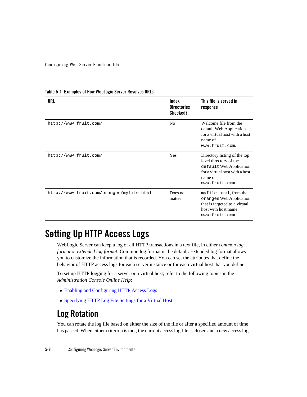| URL                                      | Index<br><b>Directories</b><br>Checked? | This file is served in<br>response                                                                                                               |
|------------------------------------------|-----------------------------------------|--------------------------------------------------------------------------------------------------------------------------------------------------|
| http://www.fruit.com/                    | N <sub>0</sub>                          | Welcome file from the<br>default Web Application<br>for a virtual host with a host<br>name of<br>www.fruit.com.                                  |
| http://www.fruit.com/                    | Yes                                     | Directory listing of the top<br>level directory of the<br>default Web Application<br>for a virtual host with a host<br>name of<br>www.fruit.com. |
| http://www.fruit.com/oranges/myfile.html | Does not<br>matter                      | myfile.html, from the<br>oranges Web Application<br>that is targeted to a virtual<br>host with host name<br>www.fruit.com.                       |

**Table 5-1 Examples of How WebLogic Server Resolves URLs**

# **Setting Up HTTP Access Logs**

WebLogic Server can keep a log of all HTTP transactions in a text file, in either *common log format* or *extended log format*. Common log format is the default. Extended log format allows you to customize the information that is recorded. You can set the attributes that define the behavior of HTTP access logs for each server instance or for each virtual host that you define.

To set up HTTP logging for a server or a virtual host, refer to the following topics in the *Administration Console Online Help*:

- Enabling and Configuring HTTP Access Logs
- Specifying HTTP Log File Settings for a Virtual Host

# **Log Rotation**

You can rotate the log file based on either the size of the file or after a specified amount of time has passed. When either criterion is met, the current access log file is closed and a new access log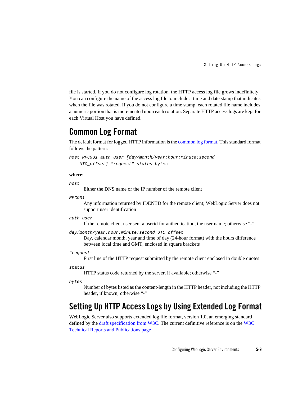file is started. If you do not configure log rotation, the HTTP access log file grows indefinitely. You can configure the name of the access log file to include a time and date stamp that indicates when the file was rotated. If you do not configure a time stamp, each rotated file name includes a numeric portion that is incremented upon each rotation. Separate HTTP access logs are kept for each Virtual Host you have defined.

### **Common Log Format**

The default format for logged HTTP information is the common log format. This standard format follows the pattern:

```
host RFC931 auth_user [day/month/year:hour:minute:second
     UTC_offset] "request" status bytes
```
#### **where:**

```
host
```
Either the DNS name or the IP number of the remote client

*RFC931*

Any information returned by IDENTD for the remote client; WebLogic Server does not support user identification

#### *auth\_user*

If the remote client user sent a userid for authentication, the user name; otherwise "-"

```
day/month/year:hour:minute:second UTC_offset
```
Day, calendar month, year and time of day (24-hour format) with the hours difference between local time and GMT, enclosed in square brackets

#### *"request"*

First line of the HTTP request submitted by the remote client enclosed in double quotes

#### *status*

HTTP status code returned by the server, if available; otherwise "-"

*bytes*

Number of bytes listed as the content-length in the HTTP header, not including the HTTP header, if known; otherwise "-"

### **Setting Up HTTP Access Logs by Using Extended Log Format**

WebLogic Server also supports extended log file format, version 1.0, an emerging standard defined by the draft specification from W3C. The current definitive reference is on the W3C Technical Reports and Publications page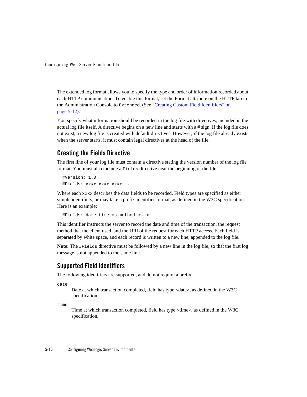The extended log format allows you to specify the type and order of information recorded about each HTTP communication. To enable this format, set the Format attribute on the HTTP tab in the Administration Console to Extended. (See "Creating Custom Field Identifiers" on page 5-12).

You specify what information should be recorded in the log file with directives, included in the actual log file itself. A directive begins on a new line and starts with a # sign. If the log file does not exist, a new log file is created with default directives. However, if the log file already exists when the server starts, it must contain legal directives at the head of the file.

### **Creating the Fields Directive**

The first line of your log file must contain a directive stating the version number of the log file format. You must also include a Fields directive near the beginning of the file:

```
 #Version: 1.0
 #Fields: xxxx xxxx xxxx ...
```
Where each xxxx describes the data fields to be recorded. Field types are specified as either simple identifiers, or may take a prefix-identifier format, as defined in the W3C specification. Here is an example:

#Fields: date time cs-method cs-uri

This identifier instructs the server to record the date and time of the transaction, the request method that the client used, and the URI of the request for each HTTP access. Each field is separated by white space, and each record is written to a new line, appended to the log file.

**Note:** The #Fields directive must be followed by a new line in the log file, so that the first log message is not appended to the same line.

### **Supported Field identifiers**

The following identifiers are supported, and do not require a prefix.

date

Date at which transaction completed, field has type <date>, as defined in the W3C specification.

time

Time at which transaction completed, field has type <time>, as defined in the W3C specification.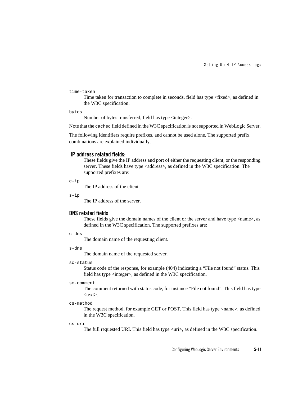#### time-taken

Time taken for transaction to complete in seconds, field has type <fixed>, as defined in the W3C specification.

bytes

Number of bytes transferred, field has type <integer>.

Note that the cached field defined in the W3C specification is not supported in WebLogic Server.

The following identifiers require prefixes, and cannot be used alone. The supported prefix combinations are explained individually.

#### **IP address related fields:**

These fields give the IP address and port of either the requesting client, or the responding server. These fields have type <address>, as defined in the W3C specification. The supported prefixes are:

c-ip

The IP address of the client.

s-ip

The IP address of the server.

#### **DNS related fields**

These fields give the domain names of the client or the server and have type  $\langle$ name $\rangle$ , as defined in the W3C specification. The supported prefixes are:

c-dns

The domain name of the requesting client.

s-dns

The domain name of the requested server.

#### sc-status

Status code of the response, for example (404) indicating a "File not found" status. This field has type <integer>, as defined in the W3C specification.

#### sc-comment

The comment returned with status code, for instance "File not found". This field has type  $<$ text $>$ .

cs-method

The request method, for example GET or POST. This field has type <name>, as defined in the W3C specification.

cs-uri

The full requested URI. This field has type <uri>, as defined in the W3C specification.

Configuring WebLogic Server Environments **5-11**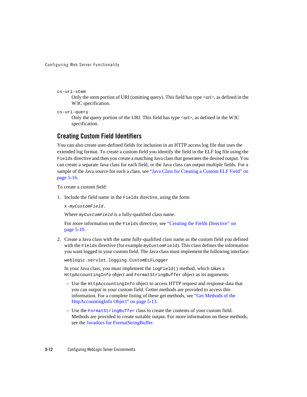#### cs-uri-stem

Only the stem portion of URI (omitting query). This field has type <uri>, as defined in the W3C specification.

cs-uri-query

Only the query portion of the URI. This field has type <uri>, as defined in the W3C specification.

### **Creating Custom Field Identifiers**

You can also create user-defined fields for inclusion in an HTTP access log file that uses the extended log format. To create a custom field you identify the field in the ELF log file using the Fields directive and then you create a matching Java class that generates the desired output. You can create a separate Java class for each field, or the Java class can output multiple fields. For a sample of the Java source for such a class, see "Java Class for Creating a Custom ELF Field" on page 5-16.

To create a custom field:

1. Include the field name in the Fields directive, using the form:

x-*myCustomField*.

Where *myCustomField* is a fully-qualified class name.

For more information on the Fields directive, see "Creating the Fields Directive" on page 5-10.

2. Create a Java class with the same fully-qualified class name as the custom field you defined with the Fields directive (for example myCustomField). This class defines the information you want logged in your custom field. The Java class must implement the following interface:

weblogic.servlet.logging.CustomELFLogger

In your Java class, you must implement the logField() method, which takes a HttpAccountingInfo object and FormatStringBuffer object as its arguments:

- Use the HttpAccountingInfo object to access HTTP request and response data that you can output in your custom field. Getter methods are provided to access this information. For a complete listing of these get methods, see "Get Methods of the HttpAccountingInfo Object" on page 5-13.
- Use the FormatStringBuffer class to create the contents of your custom field. Methods are provided to create suitable output. For more information on these methods, see the Javadocs for FormatStringBuffer.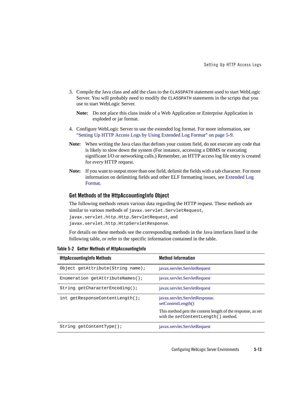- 3. Compile the Java class and add the class to the CLASSPATH statement used to start WebLogic Server. You will probably need to modify the CLASSPATH statements in the scripts that you use to start WebLogic Server.
	- **Note:** Do not place this class inside of a Web Application or Enterprise Application in exploded or jar format.
- 4. Configure WebLogic Server to use the extended log format. For more information, see "Setting Up HTTP Access Logs by Using Extended Log Format" on page 5-9.
- **Note:** When writing the Java class that defines your custom field, do not execute any code that is likely to slow down the system (For instance, accessing a DBMS or executing significant I/O or networking calls.) Remember, an HTTP access log file entry is created for *every* HTTP request.
- **Note:** If you want to output more than one field, delimit the fields with a tab character. For more information on delimiting fields and other ELF formatting issues, see Extended Log Format.

#### **Get Methods of the HttpAccountingInfo Object**

The following methods return various data regarding the HTTP request. These methods are similar to various methods of javax.servlet.ServletRequest, javax.servlet.http.Http.ServletRequest, and javax.servlet.http.HttpServletResponse.

For details on these methods see the corresponding methods in the Java interfaces listed in the following table, or refer to the specific information contained in the table.

| <b>HttpAccountingInfo Methods</b>  | <b>Method Information</b>                                                                                 |
|------------------------------------|-----------------------------------------------------------------------------------------------------------|
| Object getAttribute (String name); | javax.servlet.ServletRequest                                                                              |
| Enumeration getAttributeNames();   | javax.servlet.ServletRequest                                                                              |
| String getCharacterEncoding();     | javax.servlet.ServletRequest                                                                              |
| int getResponseContentLength();    | javax.servlet.ServletResponse.<br>setContentLength()                                                      |
|                                    | This method <i>gets</i> the content length of the response, as set<br>with the setContentLength() method. |
| String $qetContentType()$ ;        | javax.servlet.ServletRequest                                                                              |

**Table 5-2 Getter Methods of HttpAccountingInfo**

Configuring WebLogic Server Environments **5-13**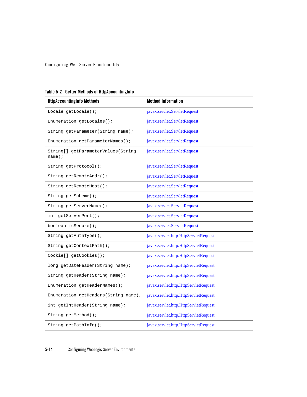| <b>HttpAccountingInfo Methods</b>               | <b>Method Information</b>             |
|-------------------------------------------------|---------------------------------------|
| Locale getLocale();                             | javax.servlet.ServletRequest          |
| Enumeration getLocales();                       | javax.servlet.ServletRequest          |
| String getParameter(String name);               | javax.servlet.ServletRequest          |
| Enumeration getParameterNames();                | javax.servlet.ServletRequest          |
| String[] getParameterValues(String<br>$name)$ ; | javax.servlet.ServletRequest          |
| String getProtocol();                           | javax.servlet.ServletRequest          |
| String getRemoteAddr();                         | javax.servlet.ServletRequest          |
| String getRemoteHost();                         | javax.servlet.ServletRequest          |
| String getScheme();                             | javax.servlet.ServletRequest          |
| String getServerName();                         | javax.servlet.ServletRequest          |
| int getServerPort();                            | javax.servlet.ServletRequest          |
| boolean isSecure();                             | javax.servlet.ServletRequest          |
| String getAuthType();                           | javax.servlet.http.HttpServletRequest |
| String getContextPath();                        | javax.servlet.http.HttpServletRequest |
| Cookie[] getCookies();                          | javax.servlet.http.HttpServletRequest |
| long getDateHeader(String name);                | javax.servlet.http.HttpServletRequest |
| String getHeader(String name);                  | javax.servlet.http.HttpServletRequest |
| Enumeration getHeaderNames();                   | javax.servlet.http.HttpServletRequest |
| Enumeration getHeaders (String name);           | javax.servlet.http.HttpServletRequest |
| int getIntHeader(String name);                  | javax.servlet.http.HttpServletRequest |
| String getMethod();                             | javax.servlet.http.HttpServletRequest |
| String getPathInfo();                           | javax.servlet.http.HttpServletRequest |

| Table 5-2 Getter Methods of HttpAccountingInfo |  |  |  |  |  |
|------------------------------------------------|--|--|--|--|--|
|------------------------------------------------|--|--|--|--|--|

**5-14** Configuring WebLogic Server Environments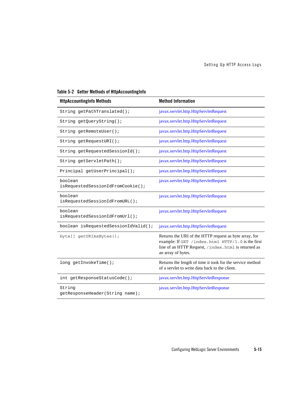| <b>HttpAccountingInfo Methods</b>            | <b>Method Information</b>                                                                                                                                                                |
|----------------------------------------------|------------------------------------------------------------------------------------------------------------------------------------------------------------------------------------------|
| String getPathTranslated();                  | javax.servlet.http.HttpServletRequest                                                                                                                                                    |
| String getQueryString();                     | javax.servlet.http.HttpServletRequest                                                                                                                                                    |
| String getRemoteUser();                      | javax.servlet.http.HttpServletRequest                                                                                                                                                    |
| String getRequestURI();                      | javax.servlet.http.HttpServletRequest                                                                                                                                                    |
| String getRequestedSessionId();              | javax.servlet.http.HttpServletRequest                                                                                                                                                    |
| String getServletPath();                     | javax.servlet.http.HttpServletRequest                                                                                                                                                    |
| Principal getUserPrincipal();                | javax.servlet.http.HttpServletRequest                                                                                                                                                    |
| boolean<br>isRequestedSessionIdFromCookie(); | javax.servlet.http.HttpServletRequest                                                                                                                                                    |
| boolean<br>isRequestedSessionIdFromURL();    | javax.servlet.http.HttpServletRequest                                                                                                                                                    |
| boolean<br>isRequestedSessionIdFromUrl();    | javax.servlet.http.HttpServletRequest                                                                                                                                                    |
| boolean isRequestedSessionIdValid();         | javax.servlet.http.HttpServletRequest                                                                                                                                                    |
| byte[] getURIAsBytes();                      | Returns the URI of the HTTP request as byte array, for<br>example: If GET /index.html HTTP/1.0 is the first<br>line of an HTTP Request, /index.html is returned as<br>an array of bytes. |
| long getInvokeTime();                        | Returns the length of time it took for the service method<br>of a servlet to write data back to the client.                                                                              |
| int getResponseStatusCode();                 | javax.servlet.http.HttpServletResponse                                                                                                                                                   |
| String<br>getResponseHeader(String name);    | javax.servlet.http.HttpServletResponse                                                                                                                                                   |

**Table 5-2 Getter Methods of HttpAccountingInfo**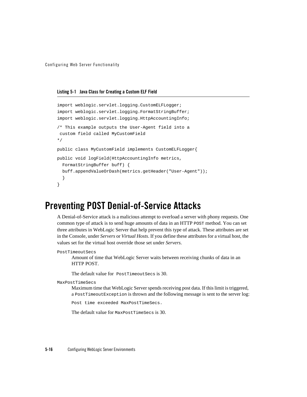**Listing 5-1 Java Class for Creating a Custom ELF Field**

```
import weblogic.servlet.logging.CustomELFLogger;
import weblogic.servlet.logging.FormatStringBuffer;
import weblogic.servlet.logging.HttpAccountingInfo;
/* This example outputs the User-Agent field into a
 custom field called MyCustomField
*/
public class MyCustomField implements CustomELFLogger{
public void logField(HttpAccountingInfo metrics,
 FormatStringBuffer buff) {
  buff.appendValueOrDash(metrics.getHeader("User-Agent"));
  }
}
```
# **Preventing POST Denial-of-Service Attacks**

A Denial-of-Service attack is a malicious attempt to overload a server with phony requests. One common type of attack is to send huge amounts of data in an HTTP POST method. You can set three attributes in WebLogic Server that help prevent this type of attack. These attributes are set in the Console, under *Servers* or *Virtual Hosts*. If you define these attributes for a virtual host, the values set for the virtual host override those set under *Servers*.

```
PostTimeoutSecs
```
Amount of time that WebLogic Server waits between receiving chunks of data in an HTTP POST.

The default value for PostTimeoutSecs is 30.

MaxPostTimeSecs

Maximum time that WebLogic Server spends receiving post data. If this limit is triggered, a PostTimeoutException is thrown and the following message is sent to the server log:

Post time exceeded MaxPostTimeSecs.

The default value for MaxPostTimeSecs is 30.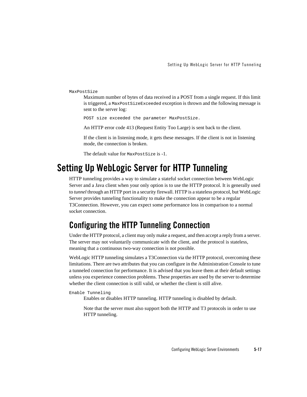MaxPostSize

Maximum number of bytes of data received in a POST from a single request. If this limit is triggered, a MaxPostSizeExceeded exception is thrown and the following message is sent to the server log:

POST size exceeded the parameter MaxPostSize.

An HTTP error code 413 (Request Entity Too Large) is sent back to the client.

If the client is in listening mode, it gets these messages. If the client is not in listening mode, the connection is broken.

The default value for MaxPostSize is -1.

# **Setting Up WebLogic Server for HTTP Tunneling**

HTTP tunneling provides a way to simulate a stateful socket connection between WebLogic Server and a Java client when your only option is to use the HTTP protocol. It is generally used to *tunnel* through an HTTP port in a security firewall. HTTP is a stateless protocol, but WebLogic Server provides tunneling functionality to make the connection appear to be a regular T3Connection. However, you can expect some performance loss in comparison to a normal socket connection.

# **Configuring the HTTP Tunneling Connection**

Under the HTTP protocol, a client may only make a request, and then accept a reply from a server. The server may not voluntarily communicate with the client, and the protocol is stateless, meaning that a continuous two-way connection is not possible.

WebLogic HTTP tunneling simulates a T3Connection via the HTTP protocol, overcoming these limitations. There are two attributes that you can configure in the Administration Console to tune a tunneled connection for performance. It is advised that you leave them at their default settings unless you experience connection problems. These properties are used by the server to determine whether the client connection is still valid, or whether the client is still alive.

Enable Tunneling Enables or disables HTTP tunneling. HTTP tunneling is disabled by default.

Note that the server must also support both the HTTP and T3 protocols in order to use HTTP tunneling.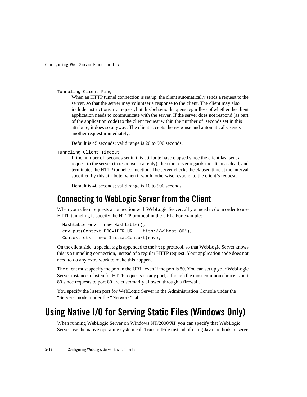```
Tunneling Client Ping
```
When an HTTP tunnel connection is set up, the client automatically sends a request to the server, so that the server may volunteer a response to the client. The client may also include instructions in a request, but this behavior happens regardless of whether the client application needs to communicate with the server. If the server does not respond (as part of the application code) to the client request within the number of seconds set in this attribute, it does so anyway. The client accepts the response and automatically sends another request immediately.

Default is 45 seconds; valid range is 20 to 900 seconds.

Tunneling Client Timeout

If the number of seconds set in this attribute have elapsed since the client last sent a request to the server (in response to a reply), then the server regards the client as dead, and terminates the HTTP tunnel connection. The server checks the elapsed time at the interval specified by this attribute, when it would otherwise respond to the client's request.

Default is 40 seconds; valid range is 10 to 900 seconds.

### **Connecting to WebLogic Server from the Client**

When your client requests a connection with WebLogic Server, all you need to do in order to use HTTP tunneling is specify the HTTP protocol in the URL. For example:

```
 Hashtable env = new Hashtable();
 env.put(Context.PROVIDER_URL, "http://wlhost:80");
Context ctx = new InitialContext(exp);
```
On the client side, a special tag is appended to the http protocol, so that WebLogic Server knows this is a tunneling connection, instead of a regular HTTP request. Your application code does not need to do any extra work to make this happen.

The client must specify the port in the URL, even if the port is 80. You can set up your WebLogic Server instance to listen for HTTP requests on any port, although the most common choice is port 80 since requests to port 80 are customarily allowed through a firewall.

You specify the listen port for WebLogic Server in the Administration Console under the "Servers" node, under the "Network" tab.

# **Using Native I/O for Serving Static Files (Windows Only)**

When running WebLogic Server on Windows NT/2000/XP you can specify that WebLogic Server use the native operating system call TransmitFile instead of using Java methods to serve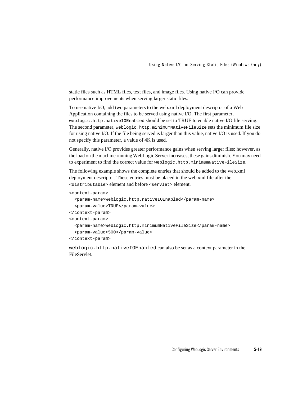static files such as HTML files, text files, and image files. Using native I/O can provide performance improvements when serving larger static files.

To use native I/O, add two parameters to the web.xml deployment descriptor of a Web Application containing the files to be served using native I/O. The first parameter, weblogic.http.nativeIOEnabled should be set to TRUE to enable native I/O file serving. The second parameter, weblogic.http.minimumNativeFileSize sets the minimum file size for using native I/O. If the file being served is larger than this value, native I/O is used. If you do not specify this parameter, a value of 4K is used.

Generally, native I/O provides greater performance gains when serving larger files; however, as the load on the machine running WebLogic Server increases, these gains diminish. You may need to experiment to find the correct value for weblogic.http.minimumNativeFileSize.

The following example shows the complete entries that should be added to the web.xml deployment descriptor. These entries must be placed in the web.xml file after the <distributable> element and before <servlet> element.

```
<context-param>
```

```
<param-name>weblogic.http.nativeIOEnabled</param-name>
  <param-value>TRUE</param-value>
</context-param>
<context-param>
  <param-name>weblogic.http.minimumNativeFileSize</param-name>
  <param-value>500</param-value>
</context-param>
```
weblogic.http.nativeIOEnabled can also be set as a context parameter in the FileServlet.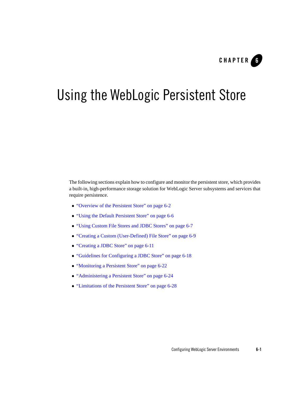

# Using the WebLogic Persistent Store

The following sections explain how to configure and monitor the persistent store, which provides a built-in, high-performance storage solution for WebLogic Server subsystems and services that require persistence.

- "Overview of the Persistent Store" on page 6-2
- "Using the Default Persistent Store" on page 6-6
- <sup>z</sup> "Using Custom File Stores and JDBC Stores" on page 6-7
- "Creating a Custom (User-Defined) File Store" on page 6-9
- "Creating a JDBC Store" on page 6-11
- <sup>z</sup> "Guidelines for Configuring a JDBC Store" on page 6-18
- "Monitoring a Persistent Store" on page 6-22
- "Administering a Persistent Store" on page 6-24
- "Limitations of the Persistent Store" on page 6-28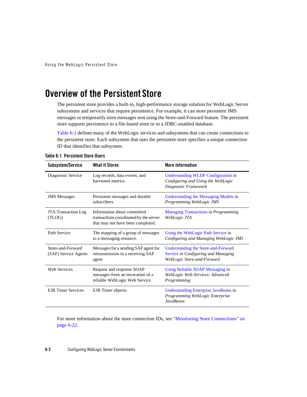Using the WebLogic Persistent Store

# **Overview of the Persistent Store**

The persistent store provides a built-in, high-performance storage solution for WebLogic Server subsystems and services that require persistence. For example, it can store persistent JMS messages or temporarily store messages sent using the Store-and-Forward feature. The persistent store supports persistence to a file-based store or to a JDBC-enabled database.

Table 6-1 defines many of the WebLogic services and subsystems that can create connections to the persistent store. Each subsystem that uses the persistent store specifies a unique connection ID that identifies that subsystem.

| Subsystem/Service                         | <b>What It Stores</b>                                                                                      | <b>More Information</b>                                                                                  |
|-------------------------------------------|------------------------------------------------------------------------------------------------------------|----------------------------------------------------------------------------------------------------------|
| Diagnostic Service                        | Log records, data events, and<br>harvested metrics.                                                        | Understanding WLDF Configuration in<br>Configuring and Using the WebLogic<br>Diagnostic Framework        |
| <b>JMS</b> Messages                       | Persistent messages and durable<br>subscribers.                                                            | Understanding the Messaging Models in<br>Programming WebLogic JMS                                        |
| <b>JTA Transaction Log</b><br>(TLOG)      | Information about committed<br>transactions coordinated by the server<br>that may not have been completed. | <b>Managing Transactions in Programming</b><br>WebLogic JTA                                              |
| Path Service                              | The mapping of a group of messages<br>to a messaging resource.                                             | Using the WebLogic Path Service in<br>Configuring and Managing WebLogic JMS                              |
| Store-and-Forward<br>(SAF) Service Agents | Messages for a sending SAF agent for<br>retransmission to a receiving SAF<br>agent                         | Understanding the Store-and-Forward<br>Service in Configuring and Managing<br>WebLogic Store-and-Forward |
| <b>Web Services</b>                       | Request and response SOAP<br>messages from an invocation of a<br>reliable WebLogic Web Service.            | Using Reliable SOAP Messaging in<br>WebLogic Web Services: Advanced<br>Programming                       |
| <b>EJB</b> Timer Services                 | EJB Timer objects.                                                                                         | Understanding Enterprise JavaBeans in<br>Programming WebLogic Enterprise<br><b>JavaBeans</b>             |

**Table 6-1 Persistent Store Users**

For more information about the store connection IDs, see "Monitoring Store Connections" on page 6-22.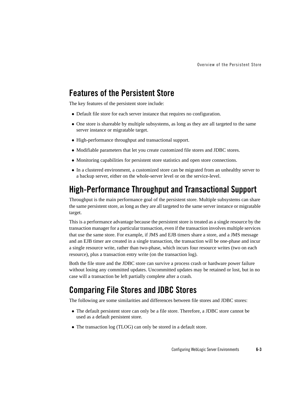### **Features of the Persistent Store**

The key features of the persistent store include:

- Default file store for each server instance that requires no configuration.
- One store is shareable by multiple subsystems, as long as they are all targeted to the same server instance or migratable target.
- High-performance throughput and transactional support.
- Modifiable parameters that let you create customized file stores and JDBC stores.
- Monitoring capabilities for persistent store statistics and open store connections.
- In a clustered environment, a customized store can be migrated from an unhealthy server to a backup server, either on the whole-server level or on the service-level.

### **High-Performance Throughput and Transactional Support**

Throughput is the main performance goal of the persistent store. Multiple subsystems can share the same persistent store, as long as they are all targeted to the same server instance or migratable target.

This is a performance advantage because the persistent store is treated as a single resource by the transaction manager for a particular transaction, even if the transaction involves multiple services that use the same store. For example, if JMS and EJB timers share a store, and a JMS message and an EJB timer are created in a single transaction, the transaction will be one-phase and incur a single resource write, rather than two-phase, which incurs four resource writes (two on each resource), plus a transaction entry write (on the transaction log).

Both the file store and the JDBC store can survive a process crash or hardware power failure without losing any committed updates. Uncommitted updates may be retained or lost, but in no case will a transaction be left partially complete after a crash.

### **Comparing File Stores and JDBC Stores**

The following are some similarities and differences between file stores and JDBC stores:

- The default persistent store can only be a file store. Therefore, a JDBC store cannot be used as a default persistent store.
- The transaction log (TLOG) can only be stored in a default store.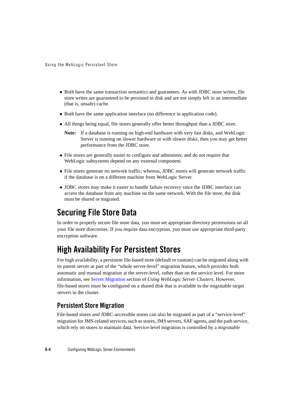Using the WebLogic Persistent Store

- Both have the same transaction semantics and guarantees. As with JDBC store writes, file store writes are guaranteed to be persisted to disk and are not simply left in an intermediate (that is, unsafe) cache.
- Both have the same application interface (no difference in application code).
- All things being equal, file stores generally offer better throughput than a JDBC store.
	- **Note:** If a database is running on high-end hardware with very fast disks, and WebLogic Server is running on slower hardware or with slower disks, then you may get better performance from the JDBC store.
- File stores are generally easier to configure and administer, and do not require that WebLogic subsystems depend on any external component.
- File stores generate no network traffic; whereas, JDBC stores will generate network traffic if the database is on a different machine from WebLogic Server.
- JDBC stores may make it easier to handle failure recovery since the JDBC interface can access the database from any machine on the same network. With the file store, the disk must be shared or migrated.

# **Securing File Store Data**

In order to properly secure file store data, you must set appropriate directory permissions on all your file store directories. If you require data encryption, you must use appropriate third-party encryption software.

# **High Availability For Persistent Stores**

For high availability, a persistent file-based store (default or custom) can be migrated along with its parent server as part of the "whole server-level" migration feature, which provides both automatic and manual migration at the server-level, rather than on the service level. For more information, see Server Migration section of *Using WebLogic Server Clusters*. However, file-based stores must be configured on a shared disk that is available to the migratable target servers in the cluster.

### **Persistent Store Migration**

File-based stores *and* JDBC-accessible stores can also be migrated as part of a "service-level" migration for JMS-related services, such as stores, JMS servers, SAF agents, and the path service, which rely on stores to maintain data. Service-level migration is controlled by a *migratable*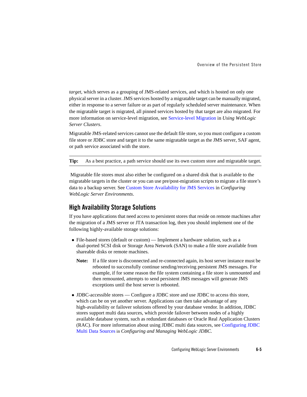Overview of the Persistent Store

*target*, which serves as a grouping of JMS-related services, and which is hosted on only one physical server in a cluster. JMS services hosted by a migratable target can be manually migrated, either in response to a server failure or as part of regularly scheduled server maintenance. When the migratable target is migrated, all pinned services hosted by that target are also migrated. For more information on service-level migration, see Service-level Migration in *Using WebLogic Server Clusters*.

Migratable JMS-related services cannot use the default file store, so you must configure a custom file store or JDBC store and target it to the same migratable target as the JMS server, SAF agent, or path service associated with the store.

**Tip:** As a best practice, a path service should use its own custom store and migratable target.

 Migratable file stores must also either be configured on a shared disk that is available to the migratable targets in the cluster or you can use pre/post-migration scripts to migrate a file store's data to a backup server. See Custom Store Availability for JMS Services in *Configuring WebLogic Server Environments*.

### **High Availability Storage Solutions**

If you have applications that need access to persistent stores that reside on remote machines after the migration of a JMS server or JTA transaction log, then you should implement one of the following highly-available storage solutions:

- File-based stores (default or custom) Implement a hardware solution, such as a dual-ported SCSI disk or Storage Area Network (SAN) to make a file store available from shareable disks or remote machines.
	- **Note:** If a file store is disconnected and re-connected again, its host server instance must be rebooted to successfully continue sending/receiving persistent JMS messages. For example, if for some reason the file system containing a file store is unmounted and then remounted, attempts to send persistent JMS messages will generate JMS exceptions until the host server is rebooted.
- JDBC-accessible stores Configure a JDBC store and use JDBC to access this store, which can be on yet another server. Applications can then take advantage of any high-availability or failover solutions offered by your database vendor. In addition, JDBC stores support multi data sources, which provide failover between nodes of a highly available database system, such as redundant databases or Oracle Real Application Clusters (RAC). For more information about using JDBC multi data sources, see Configuring JDBC Multi Data Sources in *Configuring and Managing WebLogic JDBC*.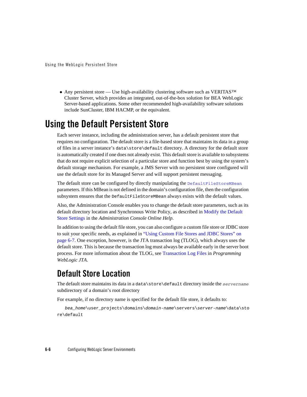• Any persistent store — Use high-availability clustering software such as VERITAS<sup>™</sup> Cluster Server, which provides an integrated, out-of-the-box solution for BEA WebLogic Server-based applications. Some other recommended high-availability software solutions include SunCluster, IBM HACMP, or the equivalent.

# **Using the Default Persistent Store**

Each server instance, including the administration server, has a default persistent store that requires no configuration. The default store is a file-based store that maintains its data in a group of files in a server instance's data\store\default directory. A directory for the default store is automatically created if one does not already exist. This default store is available to subsystems that do not require explicit selection of a particular store and function best by using the system's default storage mechanism. For example, a JMS Server with no persistent store configured will use the default store for its Managed Server and will support persistent messaging.

The default store can be configured by directly manipulating the DefaultFileStoreMBean parameters. If this MBean is not defined in the domain's configuration file, then the configuration subsystem ensures that the DefaultFileStoreMBean always exists with the default values.

Also, the Administration Console enables you to change the default store parameters, such as its default directory location and Synchronous Write Policy, as described in Modify the Default Store Settings in the *Administration Console Online Help*.

In addition to using the default file store, you can also configure a custom file store or JDBC store to suit your specific needs, as explained in "Using Custom File Stores and JDBC Stores" on page 6-7. One exception, however, is the JTA transaction log (TLOG), which always uses the default store. This is because the transaction log must always be available early in the server boot process. For more information about the TLOG, see Transaction Log Files in *Programming WebLogic JTA*.

# **Default Store Location**

The default store maintains its data in a data\store\default directory inside the *servername* subdirectory of a domain's root directory

For example, if no directory name is specified for the default file store, it defaults to:

```
bea_home\user_projects\domains\domain-name\servers\server-name\data\sto
re\default
```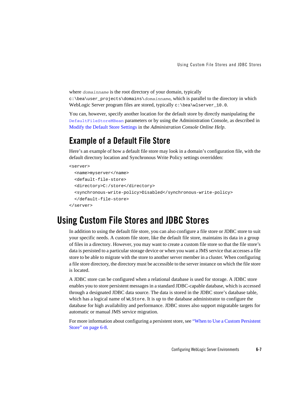where *domainname* is the root directory of your domain, typically c:\bea\user\_projects\domains\*domainname*, which is parallel to the directory in which WebLogic Server program files are stored, typically c:\bea\wlserver\_10.0.

You can, however, specify another location for the default store by directly manipulating the DefaultFileStoreMBean parameters or by using the Administration Console, as described in Modify the Default Store Settings in the *Administration Console Online Help*.

## **Example of a Default File Store**

Here's an example of how a default file store may look in a domain's configuration file, with the default directory location and Synchronous Write Policy settings overridden:

```
<server>
```

```
 <name>myserver</name>
   <default-file-store>
   <directory>C:/store</directory>
   <synchronous-write-policy>Disabled</synchronous-write-policy>
   </default-file-store>
</server>
```
# **Using Custom File Stores and JDBC Stores**

In addition to using the default file store, you can also configure a file store or JDBC store to suit your specific needs. A custom file store, like the default file store, maintains its data in a group of files in a directory. However, you may want to create a custom file store so that the file store's data is persisted to a particular storage device or when you want a JMS service that accesses a file store to be able to migrate with the store to another server member in a cluster. When configuring a file store directory, the directory must be accessible to the server instance on which the file store is located.

A JDBC store can be configured when a relational database is used for storage. A JDBC store enables you to store persistent messages in a standard JDBC-capable database, which is accessed through a designated JDBC data source. The data is stored in the JDBC store's database table, which has a logical name of WLStore. It is up to the database administrator to configure the database for high availability and performance. JDBC stores also support migratable targets for automatic or manual JMS service migration.

For more information about configuring a persistent store, see "When to Use a Custom Persistent Store" on page 6-8.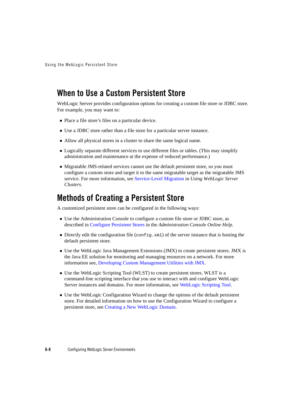## **When to Use a Custom Persistent Store**

WebLogic Server provides configuration options for creating a custom file store or JDBC store. For example, you may want to:

- Place a file store's files on a particular device.
- Use a JDBC store rather than a file store for a particular server instance.
- Allow all physical stores in a cluster to share the same logical name.
- Logically separate different services to use different files or tables. (This may simplify administration and maintenance at the expense of reduced performance.)
- Migratable JMS-related services cannot use the default persistent store, so you must configure a custom store and target it to the same migratable target as the migratable JMS service. For more information, see Service-Level Migration in *Using WebLogic Server Clusters*.

### **Methods of Creating a Persistent Store**

A customized persistent store can be configured in the following ways:

- Use the Administration Console to configure a custom file store or JDBC store, as described in Configure Persistent Stores in the *Administration Console Online Help*.
- Directly edit the configuration file (config.xml) of the server instance that is hosting the default persistent store.
- Use the WebLogic Java Management Extensions (JMX) to create persistent stores. JMX is the Java EE solution for monitoring and managing resources on a network. For more information see, Developing Custom Management Utilities with JMX.
- Use the WebLogic Scripting Tool (WLST) to create persistent stores. WLST is a command-line scripting interface that you use to interact with and configure WebLogic Server instances and domains. For more information, see WebLogic Scripting Tool.
- Use the WebLogic Configuration Wizard to change the options of the default persistent store. For detailed information on how to use the Configuration Wizard to configure a persistent store, see Creating a New WebLogic Domain.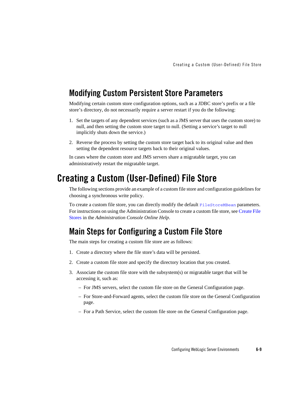### **Modifying Custom Persistent Store Parameters**

Modifying certain custom store configuration options, such as a JDBC store's prefix or a file store's directory, do not necessarily require a server restart if you do the following:

- 1. Set the targets of any dependent services (such as a JMS server that uses the custom store) to null, and then setting the custom store target to null. (Setting a service's target to null implicitly shuts down the service.)
- 2. Reverse the process by setting the custom store target back to its original value and then setting the dependent resource targets back to their original values.

In cases where the custom store and JMS servers share a migratable target, you can administratively restart the migratable target.

## **Creating a Custom (User-Defined) File Store**

The following sections provide an example of a custom file store and configuration guidelines for choosing a synchronous write policy.

To create a custom file store, you can directly modify the default FileStoreMBean parameters. For instructions on using the Administration Console to create a custom file store, see Create File Stores in the *Administration Console Online Help*.

## **Main Steps for Configuring a Custom File Store**

The main steps for creating a custom file store are as follows:

- 1. Create a directory where the file store's data will be persisted.
- 2. Create a custom file store and specify the directory location that you created.
- 3. Associate the custom file store with the subsystem(s) or migratable target that will be accessing it, such as:
	- For JMS servers, select the custom file store on the General Configuration page.
	- For Store-and-Forward agents, select the custom file store on the General Configuration page.
	- For a Path Service, select the custom file store on the General Configuration page.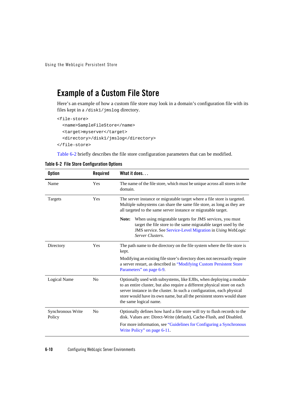# **Example of a Custom File Store**

Here's an example of how a custom file store may look in a domain's configuration file with its files kept in a /disk1/jmslog directory.

```
<file-store>
   <name>SampleFileStore</name>
   <target>myserver</target>
   <directory>/disk1/jmslog</directory>
</file-store>
```
Table 6-2 briefly describes the file store configuration parameters that can be modified.

| <b>Option</b>               | Required       | What it does                                                                                                                                                                                                                                                                                                                     |
|-----------------------------|----------------|----------------------------------------------------------------------------------------------------------------------------------------------------------------------------------------------------------------------------------------------------------------------------------------------------------------------------------|
| Name                        | Yes            | The name of the file store, which must be unique across all stores in the<br>domain.                                                                                                                                                                                                                                             |
| Targets                     | Yes            | The server instance or migratable target where a file store is targeted.<br>Multiple subsystems can share the same file store, as long as they are<br>all targeted to the same server instance or migratable target.                                                                                                             |
|                             |                | Note:<br>When using migratable targets for JMS services, you must<br>target the file store to the same migratable target used by the<br>JMS service. See Service-Level Migration in Using WebLogic<br>Server Clusters.                                                                                                           |
| Directory                   | Yes            | The path name to the directory on the file system where the file store is<br>kept.                                                                                                                                                                                                                                               |
|                             |                | Modifying an existing file store's directory does not necessarily require<br>a server restart, as described in "Modifying Custom Persistent Store<br>Parameters" on page 6-9.                                                                                                                                                    |
| Logical Name                | No             | Optionally used with subsystems, like EJBs, when deploying a module<br>to an entire cluster, but also require a different physical store on each<br>server instance in the cluster. In such a configuration, each physical<br>store would have its own name, but all the persistent stores would share<br>the same logical name. |
| Synchronous Write<br>Policy | N <sub>0</sub> | Optionally defines how hard a file store will try to flush records to the<br>disk. Values are: Direct-Write (default), Cache-Flush, and Disabled.                                                                                                                                                                                |
|                             |                | For more information, see "Guidelines for Configuring a Synchronous<br>Write Policy" on page 6-11.                                                                                                                                                                                                                               |

| Table 6-2 File Store Configuration Options |  |  |  |  |
|--------------------------------------------|--|--|--|--|
|--------------------------------------------|--|--|--|--|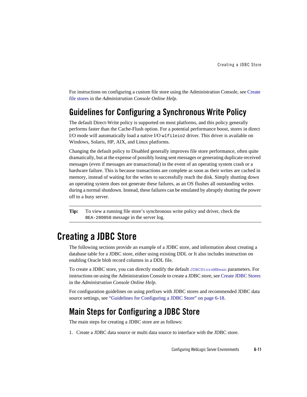For instructions on configuring a custom file store using the Administration Console, see Create file stores in the *Administration Console Online Help*.

## **Guidelines for Configuring a Synchronous Write Policy**

The default Direct-Write policy is supported on most platforms, and this policy generally performs faster than the Cache-Flush option. For a potential performance boost, stores in direct I/O mode will automatically load a native I/O wlfileio2 driver. This driver is available on Windows, Solaris, HP, AIX, and Linux platforms.

Changing the default policy to Disabled generally improves file store performance, often quite dramatically, but at the expense of possibly losing sent messages or generating duplicate received messages (even if messages are transactional) in the event of an operating system crash or a hardware failure. This is because transactions are complete as soon as their writes are cached in memory, instead of waiting for the writes to successfully reach the disk. Simply shutting down an operating system does not generate these failures, as an OS flushes all outstanding writes during a normal shutdown. Instead, these failures can be emulated by abruptly shutting the power off to a busy server.

**Tip:** To view a running file store's synchronous write policy and driver, check the BEA-280050 message in the server log.

# **Creating a JDBC Store**

The following sections provide an example of a JDBC store, and information about creating a database table for a JDBC store, either using existing DDL or It also includes instruction on enabling Oracle blob record columns in a DDL file.

To create a JDBC store, you can directly modify the default JDBCStoreMBean parameters. For instructions on using the Administration Console to create a JDBC store, see Create JDBC Stores in the *Administration Console Online Help*.

For configuration guidelines on using prefixes with JDBC stores and recommended JDBC data source settings, see "Guidelines for Configuring a JDBC Store" on page 6-18.

## **Main Steps for Configuring a JDBC Store**

The main steps for creating a JDBC store are as follows:

1. Create a JDBC data source or multi data source to interface with the JDBC store.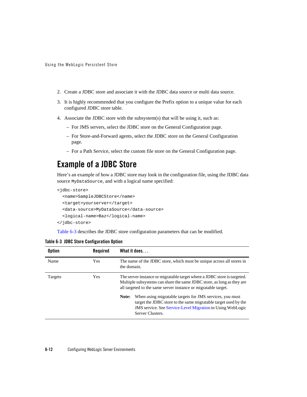- 2. Create a JDBC store and associate it with the JDBC data source or multi data source.
- 3. It is highly recommended that you configure the Prefix option to a unique value for each configured JDBC store table.
- 4. Associate the JDBC store with the subsystem(s) that will be using it, such as:
	- For JMS servers, select the JDBC store on the General Configuration page.
	- For Store-and-Forward agents, select the JDBC store on the General Configuration page.
	- For a Path Service, select the custom file store on the General Configuration page.

# **Example of a JDBC Store**

Here's an example of how a JDBC store may look in the configuration file, using the JDBC data source MyDataSource, and with a logical name specified:

```
<jdbc-store>
  <name>SampleJDBCStore</name>
  <target>yourserver</target>
  <data-source>MyDataSource</data-source>
  <logical-name>Baz</logical-name>
</jdbc-store>
```
Table 6-3 describes the JDBC store configuration parameters that can be modified.

| <b>Option</b> | Required   | What it does                                                                                                                                                                                                                  |
|---------------|------------|-------------------------------------------------------------------------------------------------------------------------------------------------------------------------------------------------------------------------------|
| Name          | Yes        | The name of the JDBC store, which must be unique across all stores in<br>the domain.                                                                                                                                          |
| Targets       | <b>Yes</b> | The server instance or migratable target where a JDBC store is targeted.<br>Multiple subsystems can share the same JDBC store, as long as they are<br>all targeted to the same server instance or migratable target.          |
|               |            | When using migratable targets for JMS services, you must<br>Note:<br>target the JDBC store to the same migratable target used by the<br><b>JMS</b> service. See Service-Level Migration in Using WebLogic<br>Server Clusters. |

|  |  | Table 6-3 JDBC Store Configuration Option |  |
|--|--|-------------------------------------------|--|
|--|--|-------------------------------------------|--|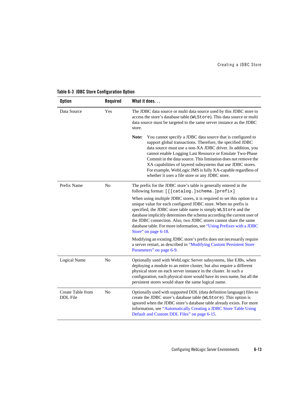| <b>Option</b>                        | Required       | What it does.                                                                                                                                                                                                                                                                                                                                                                                                                                                                                                    |
|--------------------------------------|----------------|------------------------------------------------------------------------------------------------------------------------------------------------------------------------------------------------------------------------------------------------------------------------------------------------------------------------------------------------------------------------------------------------------------------------------------------------------------------------------------------------------------------|
| Data Source                          | Yes            | The JDBC data source or multi data source used by this JDBC store to<br>access the store's database table (WLStore). This data source or multi<br>data source must be targeted to the same server instance as the JDBC<br>store.                                                                                                                                                                                                                                                                                 |
|                                      |                | Note:<br>You cannot specify a JDBC data source that is configured to<br>support global transactions. Therefore, the specified JDBC<br>data source must use a non-XA JDBC driver. In addition, you<br>cannot enable Logging Last Resource or Emulate Two-Phase<br>Commit in the data source. This limitation does not remove the<br>XA capabilities of layered subsystems that use JDBC stores.<br>For example, WebLogic JMS is fully XA-capable regardless of<br>whether it uses a file store or any JDBC store. |
| Prefix Name                          | No             | The prefix for the JDBC store's table is generally entered in the<br>following format: [[[catalog.]schema.]prefix]                                                                                                                                                                                                                                                                                                                                                                                               |
|                                      |                | When using multiple JDBC stores, it is required to set this option to a<br>unique value for each configured JDBC store. When no prefix is<br>specified, the JDBC store table name is simply WLStore and the<br>database implicitly determines the schema according the current user of<br>the JDBC connection. Also, two JDBC stores cannot share the same<br>database table. For more information, see "Using Prefixes with a JDBC<br>Store" on page 6-18.                                                      |
|                                      |                | Modifying an existing JDBC store's prefix does not necessarily require<br>a server restart, as described in "Modifying Custom Persistent Store<br>Parameters" on page 6-9.                                                                                                                                                                                                                                                                                                                                       |
| Logical Name                         | N <sub>o</sub> | Optionally used with WebLogic Server subsystems, like EJBs, when<br>deploying a module to an entire cluster, but also require a different<br>physical store on each server instance in the cluster. In such a<br>configuration, each physical store would have its own name, but all the<br>persistent stores would share the same logical name.                                                                                                                                                                 |
| Create Table from<br><b>DDL</b> File | N <sub>o</sub> | Optionally used with supported DDL (data definition language) files to<br>create the JDBC store's database table (WLStore). This option is<br>ignored when the JDBC store's database table already exists. For more<br>information, see "Automatically Creating a JDBC Store Table Using<br>Default and Custom DDL Files" on page 6-15.                                                                                                                                                                          |

#### **Table 6-3 JDBC Store Configuration Option**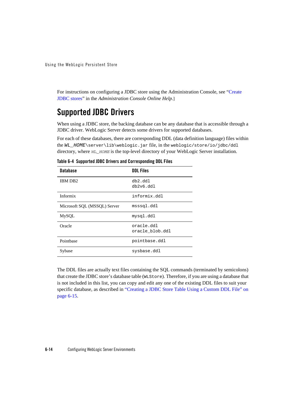For instructions on configuring a JDBC store using the Administration Console, see "Create JDBC stores" in the *Administration Console Online Help*.]

## **Supported JDBC Drivers**

When using a JDBC store, the backing database can be any database that is accessible through a JDBC driver. WebLogic Server detects some drivers for supported databases.

For each of these databases, there are corresponding DDL (data definition language) files within the *WL\_HOME*\server\lib\weblogic.jar file, in the weblogic/store/io/jdbc/ddl directory, where  $WLL$ <sub>HOME</sub> is the top-level directory of your WebLogic Server installation.

| <b>Database</b>              | <b>DDL Files</b>              |
|------------------------------|-------------------------------|
| IBM DB <sub>2</sub>          | $db2$ .ddl<br>db2v6.dd1       |
| Informix                     | informix.ddl                  |
| Microsoft SQL (MSSQL) Server | msssql.ddl                    |
| <b>MySQL</b>                 | mysql.ddl                     |
| Oracle                       | oracle.ddl<br>oracle blob.ddl |
| Pointbase                    | pointbase.ddl                 |
| Sybase                       | sysbase.ddl                   |

**Table 6-4 Supported JDBC Drivers and Corresponding DDL Files**

The DDL files are actually text files containing the SQL commands (terminated by semicolons) that create the JDBC store's database table (WLStore). Therefore, if you are using a database that is not included in this list, you can copy and edit any one of the existing DDL files to suit your specific database, as described in "Creating a JDBC Store Table Using a Custom DDL File" on page 6-15.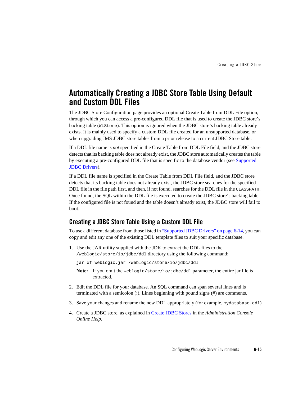## **Automatically Creating a JDBC Store Table Using Default and Custom DDL Files**

The JDBC Store Configuration page provides an optional Create Table from DDL File option, through which you can access a pre-configured DDL file that is used to create the JDBC store's backing table (WLStore). This option is ignored when the JDBC store's backing table already exists. It is mainly used to specify a custom DDL file created for an unsupported database, or when upgrading JMS JDBC store tables from a prior release to a current JDBC Store table.

If a DDL file name is *not* specified in the Create Table from DDL File field, and the JDBC store detects that its backing table does not already exist, the JDBC store automatically creates the table by executing a pre-configured DDL file that is specific to the database vendor (see Supported JDBC Drivers).

If a DDL file name is specified in the Create Table from DDL File field, and the JDBC store detects that its backing table does not already exist, the JDBC store searches for the specified DDL file in the file path first, and then, if not found, searches for the DDL file in the CLASSPATH. Once found, the SQL within the DDL file is executed to create the JDBC store's backing table. If the configured file is not found and the table doesn't already exist, the JDBC store will fail to boot.

#### **Creating a JDBC Store Table Using a Custom DDL File**

To use a different database from those listed in "Supported JDBC Drivers" on page 6-14, you can copy and edit any one of the existing DDL template files to suit your specific database.

1. Use the JAR utility supplied with the JDK to extract the DDL files to the /weblogic/store/io/jdbc/ddl directory using the following command:

jar xf weblogic.jar /weblogic/store/io/jdbc/ddl

- **Note:** If you omit the weblogic/store/io/jdbc/ddl parameter, the entire jar file is extracted.
- 2. Edit the DDL file for your database. An SQL command can span several lines and is terminated with a semicolon (;). Lines beginning with pound signs (#) are comments.
- 3. Save your changes and rename the new DDL appropriately (for example, mydatabase.ddl)
- 4. Create a JDBC store, as explained in Create JDBC Stores in the *Administration Console Online Help*.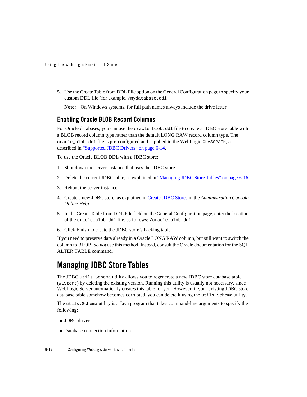5. Use the Create Table from DDL File option on the General Configuration page to specify your custom DDL file (for example, /mydatabase.ddl

**Note:** On Windows systems, for full path names always include the drive letter.

#### **Enabling Oracle BLOB Record Columns**

For Oracle databases, you can use the oracle\_blob.ddl file to create a JDBC store table with a BLOB record column type rather than the default LONG RAW record column type. The oracle\_blob.ddl file is pre-configured and supplied in the WebLogic CLASSPATH, as described in "Supported JDBC Drivers" on page 6-14.

To use the Oracle BLOB DDL with a JDBC store:

- 1. Shut down the server instance that uses the JDBC store.
- 2. Delete the current JDBC table, as explained in "Managing JDBC Store Tables" on page 6-16.
- 3. Reboot the server instance.
- 4. Create a new JDBC store, as explained in Create JDBC Stores in the *Administration Console Online Help*.
- 5. In the Create Table from DDL File field on the General Configuration page, enter the location of the oracle\_blob.ddl file, as follows: /oracle\_blob.ddl
- 6. Click Finish to create the JDBC store's backing table.

If you need to preserve data already in a Oracle LONG RAW column, but still want to switch the column to BLOB, *do not* use this method. Instead, consult the Oracle documentation for the SQL ALTER TABLE command.

# **Managing JDBC Store Tables**

The JDBC utils.Schema utility allows you to regenerate a new JDBC store database table (WLStore) by deleting the existing version. Running this utility is usually not necessary, since WebLogic Server automatically creates this table for you. However, if your existing JDBC store database table somehow becomes corrupted, you can delete it using the utils. Schema utility.

The utils.Schema utility is a Java program that takes command-line arguments to specify the following:

- JDBC driver
- Database connection information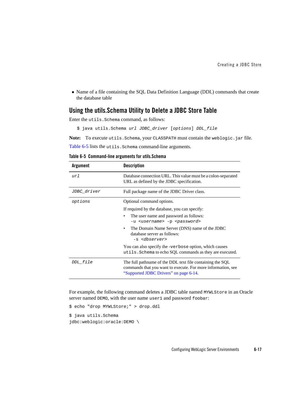• Name of a file containing the SQL Data Definition Language (DDL) commands that create the database table

#### **Using the utils.Schema Utility to Delete a JDBC Store Table**

Enter the utils.Schema command, as follows:

\$ java utils.Schema *url JDBC\_driver* [*options*] *DDL\_file*

**Note:** To execute utils.Schema, your CLASSPATH must contain the weblogic.jar file.

Table 6-5 lists the utils. Schema command-line arguments.

**Table 6-5 Command-line arguments for utils.Schema**

| <b>Argument</b> | <b>Description</b>                                                                                                                                                  |
|-----------------|---------------------------------------------------------------------------------------------------------------------------------------------------------------------|
| $\mu r$ 1       | Database connection URL. This value must be a colon-separated<br>URL as defined by the JDBC specification.                                                          |
| JDBC_driver     | Full package name of the JDBC Driver class.                                                                                                                         |
| options         | Optional command options.                                                                                                                                           |
|                 | If required by the database, you can specify:                                                                                                                       |
|                 | The user name and password as follows:<br>٠<br>-u <username> -p <password></password></username>                                                                    |
|                 | The Domain Name Server (DNS) name of the JDBC<br>database server as follows:<br>-s <dbserver></dbserver>                                                            |
|                 | You can also specify the -verbose option, which causes<br>utils. Schema to echo SQL commands as they are executed.                                                  |
| DDL_file        | The full pathname of the DDL text file containing the SQL<br>commands that you want to execute. For more information, see<br>"Supported JDBC Drivers" on page 6-14. |

For example, the following command deletes a JDBC table named MYWLStore in an Oracle server named DEMO, with the user name user1 and password foobar:

```
$ echo "drop MYWLStore;" > drop.ddl
$ java utils.Schema 
jdbc:weblogic:oracle:DEMO \
```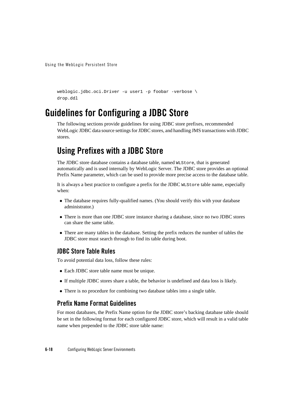```
weblogic.jdbc.oci.Driver -u user1 -p foobar -verbose \
drop.ddl
```
# **Guidelines for Configuring a JDBC Store**

The following sections provide guidelines for using JDBC store prefixes, recommended WebLogic JDBC data source settings for JDBC stores, and handling JMS transactions with JDBC stores.

# **Using Prefixes with a JDBC Store**

The JDBC store database contains a database table, named WLStore, that is generated automatically and is used internally by WebLogic Server. The JDBC store provides an optional Prefix Name parameter, which can be used to provide more precise access to the database table.

It is always a best practice to configure a prefix for the JDBC WLStore table name, especially when:

- The database requires fully-qualified names. (You should verify this with your database administrator.)
- There is more than one JDBC store instance sharing a database, since no two JDBC stores can share the same table.
- There are many tables in the database. Setting the prefix reduces the number of tables the JDBC store must search through to find its table during boot.

#### **JDBC Store Table Rules**

To avoid potential data loss, follow these rules:

- Each JDBC store table name must be unique.
- If multiple JDBC stores share a table, the behavior is undefined and data loss is likely.
- There is no procedure for combining two database tables into a single table.

#### **Prefix Name Format Guidelines**

For most databases, the Prefix Name option for the JDBC store's backing database table should be set in the following format for each configured JDBC store, which will result in a valid table name when prepended to the JDBC store table name: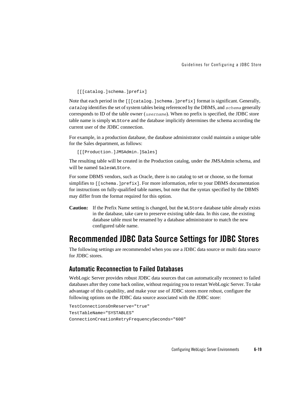[[[catalog.]schema.]prefix]

Note that each period in the [[[catalog.]schema.]prefix] format is significant. Generally, *catalog* identifies the set of system tables being referenced by the DBMS, and *schema* generally corresponds to ID of the table owner (*username*). When no prefix is specified, the JDBC store table name is simply WLStore and the database implicitly determines the schema according the current user of the JDBC connection.

For example, in a production database, the database administrator could maintain a unique table for the Sales department, as follows:

[[[Production.]JMSAdmin.]Sales]

The resulting table will be created in the Production catalog, under the JMSAdmin schema, and will be named SalesWLStore.

For some DBMS vendors, such as Oracle, there is no catalog to set or choose, so the format simplifies to [[schema.]prefix]. For more information, refer to your DBMS documentation for instructions on fully-qualified table names, but note that the syntax specified by the DBMS may differ from the format required for this option.

**Caution:** If the Prefix Name setting is changed, but the WLStore database table already exists in the database, take care to preserve existing table data. In this case, the existing database table must be renamed by a database administrator to match the new configured table name.

## **Recommended JDBC Data Source Settings for JDBC Stores**

The following settings are recommended when you use a JDBC data source or multi data source for JDBC stores.

#### **Automatic Reconnection to Failed Databases**

WebLogic Server provides robust JDBC data sources that can automatically reconnect to failed databases after they come back online, without requiring you to restart WebLogic Server. To take advantage of this capability, and make your use of JDBC stores more robust, configure the following options on the JDBC data source associated with the JDBC store:

```
TestConnectionsOnReserve="true"
TestTableName="SYSTABLES"
ConnectionCreationRetryFrequencySeconds="600"
```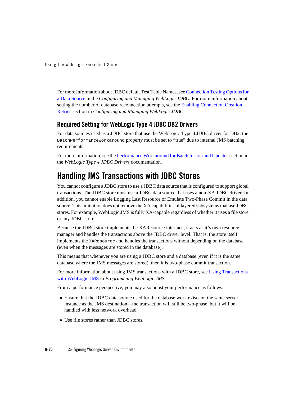For more information about JDBC default Test Table Names, see Connection Testing Options for a Data Source in the *Configuring and Managing WebLogic JDBC*. For more information about setting the number of database reconnection attempts, see the Enabling Connection Creation Retries section in *Configuring and Managing WebLogic JDBC*.

#### **Required Setting for WebLogic Type 4 JDBC DB2 Drivers**

For data sources used as a JDBC store that use the WebLogic Type 4 JDBC driver for DB2, the BatchPerformanceWorkaround property must be set to "true" due to internal JMS batching requirements.

For more information, see the Performance Workaround for Batch Inserts and Updates section in the *WebLogic Type 4 JDBC Drivers* documentation.

# **Handling JMS Transactions with JDBC Stores**

You cannot configure a JDBC store to use a JDBC data source that is configured to support global transactions. The JDBC store must use a JDBC data source that uses a non-XA JDBC driver. In addition, you cannot enable Logging Last Resource or Emulate Two-Phase Commit in the data source. This limitation does not remove the XA capabilities of layered subsystems that use JDBC stores. For example, WebLogic JMS is fully XA-capable regardless of whether it uses a file store or any JDBC store.

Because the JDBC store implements the XAResource interface, it acts as it's own resource manager and handles the transactions above the JDBC driver level. That is, the store itself implements the XAResource and handles the transactions without depending on the database (even when the messages are stored in the database).

This means that whenever you are using a JDBC store and a database (even if it is the same database where the JMS messages are stored), then it is two-phase commit transaction.

For more information about using JMS transactions with a JDBC store, see Using Transactions with WebLogic JMS in *Programming WebLogic JMS*.

From a performance perspective, you may also boost your performance as follows:

- Ensure that the JDBC data source used for the database work exists on the same server instance as the JMS destination—the transaction will still be two-phase, but it will be handled with less network overhead.
- Use file stores rather than JDBC stores.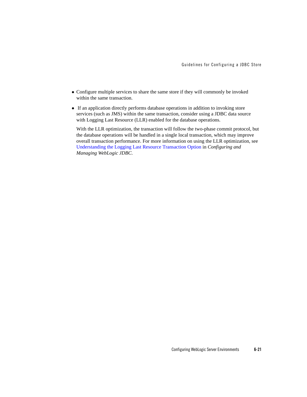- Configure multiple services to share the same store if they will commonly be invoked within the same transaction.
- If an application directly performs database operations in addition to invoking store services (such as JMS) within the same transaction, consider using a JDBC data source with Logging Last Resource (LLR) enabled for the database operations.

With the LLR optimization, the transaction will follow the two-phase commit protocol, but the database operations will be handled in a single local transaction, which may improve overall transaction performance. For more information on using the LLR optimization, see Understanding the Logging Last Resource Transaction Option in *Configuring and Managing WebLogic JDBC*.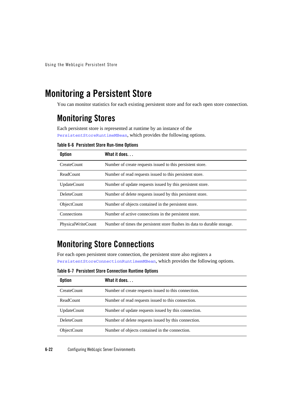# **Monitoring a Persistent Store**

You can monitor statistics for each existing persistent store and for each open store connection.

## **Monitoring Stores**

Each persistent store is represented at runtime by an instance of the PersistentStoreRuntimeMBean, which provides the following options.

#### **Table 6-6 Persistent Store Run-time Options**

| <b>Option</b>      | What it does                                                              |
|--------------------|---------------------------------------------------------------------------|
| CreateCount        | Number of create requests issued to this persistent store.                |
| ReadCount          | Number of read requests issued to this persistent store.                  |
| <b>UpdateCount</b> | Number of update requests issued by this persistent store.                |
| DeleteCount        | Number of delete requests issued by this persistent store.                |
| <b>ObjectCount</b> | Number of objects contained in the persistent store.                      |
| Connections        | Number of active connections in the persistent store.                     |
| PhysicalWriteCount | Number of times the persistent store flushes its data to durable storage. |

# **Monitoring Store Connections**

For each open persistent store connection, the persistent store also registers a PersistentStoreConnectionRuntimemMBean, which provides the following options.

**Table 6-7 Persistent Store Connection Runtime Options**

| <b>Option</b>      | What it does.                                        |
|--------------------|------------------------------------------------------|
| CreateCount        | Number of create requests issued to this connection. |
| ReadCount          | Number of read requests issued to this connection.   |
| <b>UpdateCount</b> | Number of update requests issued by this connection. |
| DeleteCount        | Number of delete requests issued by this connection. |
| <b>ObjectCount</b> | Number of objects contained in the connection.       |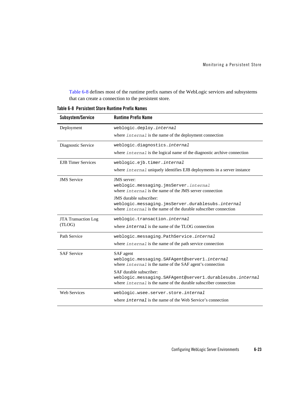Table 6-8 defines most of the runtime prefix names of the WebLogic services and subsystems that can create a connection to the persistent store.

| Subsystem/Service                    | <b>Runtime Prefix Name</b>                                                                                                     |
|--------------------------------------|--------------------------------------------------------------------------------------------------------------------------------|
| Deployment                           | weblogic.deploy.internal                                                                                                       |
|                                      | where internal is the name of the deployment connection                                                                        |
| Diagnostic Service                   | weblogic.diagnostics.internal                                                                                                  |
|                                      | where <i>internal</i> is the logical name of the diagnostic archive connection                                                 |
| <b>EJB</b> Timer Services            | weblogic.ejb.timer.internal                                                                                                    |
|                                      | where <i>internal</i> uniquely identifies EJB deployments in a server instance                                                 |
| <b>JMS</b> Service                   | JMS server:                                                                                                                    |
|                                      | weblogic.messaging.jmsServer.internal<br>where <i>internal</i> is the name of the JMS server connection                        |
|                                      | JMS durable subscriber:                                                                                                        |
|                                      | weblogic.messaging.jmsServer.durablesubs.internal<br>where internal is the name of the durable subscriber connection           |
|                                      | weblogic.transaction.internal                                                                                                  |
| <b>JTA Transaction Log</b><br>(TLOG) | where internal is the name of the TLOG connection                                                                              |
| Path Service                         |                                                                                                                                |
|                                      | weblogic.messaging.PathService.internal<br>where internal is the name of the path service connection                           |
|                                      |                                                                                                                                |
| <b>SAF Service</b>                   | SAF agent<br>weblogic.messaging.SAFAgent@server1.internal                                                                      |
|                                      | where internal is the name of the SAF agent's connection                                                                       |
|                                      | SAF durable subscriber:                                                                                                        |
|                                      | weblogic.messaging.SAFAgent@server1.durablesubs.internal<br>where $interna 1$ is the name of the durable subscriber connection |
| <b>Web Services</b>                  | weblogic.wsee.server.store.internal                                                                                            |
|                                      | where <i>internal</i> is the name of the Web Service's connection                                                              |

**Table 6-8 Persistent Store Runtime Prefix Names**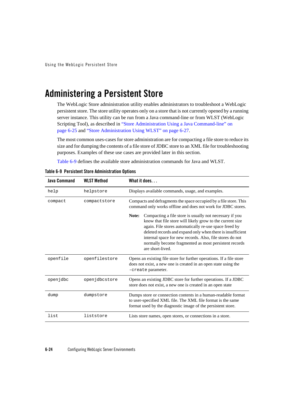# **Administering a Persistent Store**

The WebLogic Store administration utility enables administrators to troubleshoot a WebLogic persistent store. The store utility operates only on a store that is not currently opened by a running server instance. This utility can be run from a Java command-line or from WLST (WebLogic Scripting Tool), as described in "Store Administration Using a Java Command-line" on page 6-25 and "Store Administration Using WLST" on page 6-27.

The most common uses-cases for store administration are for compacting a file store to reduce its size and for dumping the contents of a file store of JDBC store to an XML file for troubleshooting purposes. Examples of these use cases are provided later in this section.

Table 6-9 defines the available store administration commands for Java and WLST.

| <b>Java Command</b> | <b>WLST Method</b> | What it does                                                                                                                                                                                                                                                                                                                                                                                   |
|---------------------|--------------------|------------------------------------------------------------------------------------------------------------------------------------------------------------------------------------------------------------------------------------------------------------------------------------------------------------------------------------------------------------------------------------------------|
| help                | helpstore          | Displays available commands, usage, and examples.                                                                                                                                                                                                                                                                                                                                              |
| compact             | compactstore       | Compacts and defragments the space occupied by a file store. This<br>command only works offline and does not work for JDBC stores.                                                                                                                                                                                                                                                             |
|                     |                    | Compacting a file store is usually not necessary if you<br>Note:<br>know that file store will likely grow to the current size<br>again. File stores automatically re-use space freed by<br>deleted records and expand only when there is insufficient<br>internal space for new records. Also, file stores do not<br>normally become fragmented as most persistent records<br>are short-lived. |
| openfile            | openfilestore      | Opens an existing file store for further operations. If a file store<br>does not exist, a new one is created in an open state using the<br>-create parameter.                                                                                                                                                                                                                                  |
| openjdbc            | openjdbcstore      | Opens an existing JDBC store for further operations. If a JDBC<br>store does not exist, a new one is created in an open state                                                                                                                                                                                                                                                                  |
| dump                | dumpstore          | Dumps store or connection contents in a human-readable format<br>to user-specified XML file. The XML file format is the same<br>format used by the diagnostic image of the persistent store.                                                                                                                                                                                                   |
| list                | liststore          | Lists store names, open stores, or connections in a store.                                                                                                                                                                                                                                                                                                                                     |

| Table 6-9 Persistent Store Administration Options |
|---------------------------------------------------|
|---------------------------------------------------|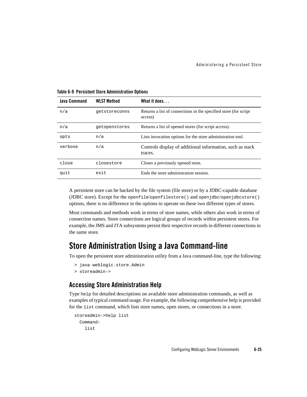| Java Command | <b>WLST Method</b> | What it does                                                                |
|--------------|--------------------|-----------------------------------------------------------------------------|
| n/a          | getstoreconns      | Returns a list of connections in the specified store (for script<br>access) |
| n/a          | getopenstores      | Returns a list of opened stores (for script access).                        |
| opts         | n/a                | Lists invocation options for the store administration tool.                 |
| verbose      | n/a                | Controls display of additional information, such as stack<br>traces.        |
| close        | closestore         | Closes a previously opened store.                                           |
| quit         | exit               | Ends the store administration session.                                      |

**Table 6-9 Persistent Store Administration Options**

A persistent store can be backed by the file system (file store) or by a JDBC-capable database (JDBC store). Except for the openfile/openfilestore() and openjdbc/openjdbcstore() options, there is no difference in the options to operate on these two different types of stores.

Most commands and methods work in terms of store names, while others also work in terms of connection names. Store connections are logical groups of records within persistent stores. For example, the JMS and JTA subsystems persist their respective records in different connections in the same store.

### **Store Administration Using a Java Command-line**

To open the persistent store administration utility from a Java command-line, type the following:

```
 > java weblogic.store.Admin
```

```
 > storeadmin->
```
#### **Accessing Store Administration Help**

Type help for detailed descriptions on available store administration commands, as well as examples of typical command usage. For example, the following comprehensive help is provided for the list command, which lists store names, open stores, or connections in a store.

```
 storeadmin->help list
   Command:
     list
```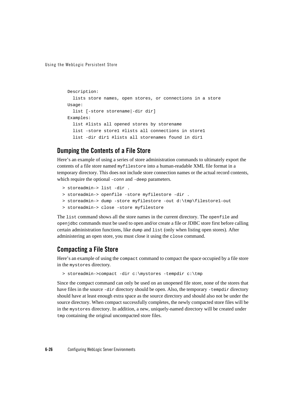```
 Description:
   lists store names, open stores, or connections in a store
 Usage:
   list [-store storename|-dir dir]
 Examples:
   list #lists all opened stores by storename
   list -store store1 #lists all connections in store1
   list -dir dir1 #lists all storenames found in dir1
```
#### **Dumping the Contents of a File Store**

Here's an example of using a series of store administration commands to ultimately export the contents of a file store named myfilestore into a human-readable XML file format in a temporary directory. This does not include store connection names or the actual record contents, which require the optional -conn and -deep parameters.

```
 > storeadmin-> list -dir .
 > storeadmin-> openfile -store myfilestore -dir .
 > storeadmin-> dump -store myfilestore -out d:\tmp\filestore1-out
 > storeadmin-> close -store myfilestore
```
The list command shows all the store names in the current directory. The openfile and openjdbc commands must be used to open and/or create a file or JDBC store first before calling certain administration functions, like dump and list (only when listing open stores). After administering an open store, you must close it using the close command.

#### **Compacting a File Store**

Here's an example of using the compact command to compact the space occupied by a file store in the mystores directory.

> storeadmin->compact -dir c:\mystores -tempdir c:\tmp

Since the compact command can only be used on an unopened file store, none of the stores that have files in the source -dir directory should be open. Also, the temporary -tempdir directory should have at least enough extra space as the source directory and should also not be under the source directory. When compact successfully completes, the newly compacted store files will be in the mystores directory. In addition, a new, uniquely-named directory will be created under tmp containing the original uncompacted store files.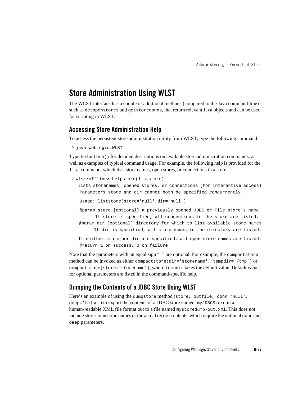### **Store Administration Using WLST**

The WLST interface has a couple of additional methods (compared to the Java command-line) such as getopenstores and getstoreconns, that return relevant Java objects and can be used for scripting in WLST.

#### **Accessing Store Administration Help**

To access the persistent store administration utility from WLST, type the following command:

```
 > java weblogic.WLST
```
Type helpstore() for detailed descriptions on available store administration commands, as well as examples of typical command usage. For example, the following help is provided for the list command, which lists store names, open stores, or connections in a store.

```
 > wls:/offline> helpstore(liststore)
```
 lists storenames, opened stores, or connections (for interactive access) Parameters store and dir cannot both be specified concurrently.

```
 Usage: liststore(store='null',dir='null')
```
 @param store [optional] a previously opened JDBC or File store's name. If store is specified, all connections in the store are listed.

 @param dir [optional] directory for which to list available store names If dir is specified, all store names in the directory are listed.

 If neither store nor dir are specified, all open store names are listed. @return 1 on success, 0 on failure

Note that the parameters with an equal sign "=" are optional. For example, the compactstore method can be invoked as either compactstore(dir='storename', tempdir='/tmp') or compactstore(store='storename'), where tempdir takes the default value. Default values for optional parameters are listed in the command-specific help.

#### **Dumping the Contents of a JDBC Store Using WLST**

Here's an example of using the dumpstore method (store, outfile, conn='null', deep='false') to export the contents of a JDBC store named myJDBCStore in a human-readable XML file format out to a file named mystoredump-out. xml. This does not include store connection names or the actual record contents, which require the optional conn and deep parameters.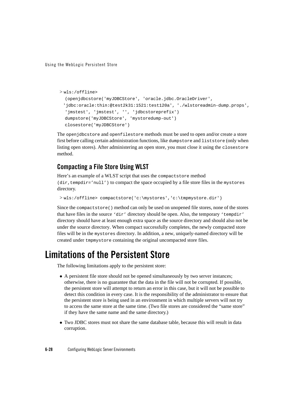```
 > wls:/offline>
```

```
 (openjdbcstore('myJDBCStore', 'oracle.jdbc.OracleDriver',
 'jdbc:oracle:thin:@test2k31:1521:test120a', './wlstoreadmin-dump.props',
'jmstest', 'jmstest', '', 'jdbcstoreprefix')
 dumpstore('myJDBCStore', 'mystoredump-out')
 closestore('myJDBCStore')
```
The openjdbcstore and openfilestore methods must be used to open and/or create a store first before calling certain administration functions, like dumpstore and liststore (only when listing open stores). After administering an open store, you must close it using the closestore method.

#### **Compacting a File Store Using WLST**

Here's an example of a WLST script that uses the compactstore method  $(dir, tempdir='null')$  to compact the space occupied by a file store files in the mystores directory.

```
 > wls:/offline> compactstore('c:\mystores','c:\tmpmystore.dir')
```
Since the compactstore() method can only be used on unopened file stores, none of the stores that have files in the source 'dir' directory should be open. Also, the temporary 'tempdir' directory should have at least enough extra space as the source directory and should also not be under the source directory. When compact successfully completes, the newly compacted store files will be in the mystores directory. In addition, a new, uniquely-named directory will be created under tmpmystore containing the original uncompacted store files.

# **Limitations of the Persistent Store**

The following limitations apply to the persistent store:

- A persistent file store should not be opened simultaneously by two server instances; otherwise, there is no guarantee that the data in the file will not be corrupted. If possible, the persistent store will attempt to return an error in this case, but it will not be possible to detect this condition in every case. It is the responsibility of the administrator to ensure that the persistent store is being used in an environment in which multiple servers will not try to access the same store at the same time. (Two file stores are considered the "same store" if they have the same name and the same directory.)
- Two JDBC stores must not share the same database table, because this will result in data corruption.